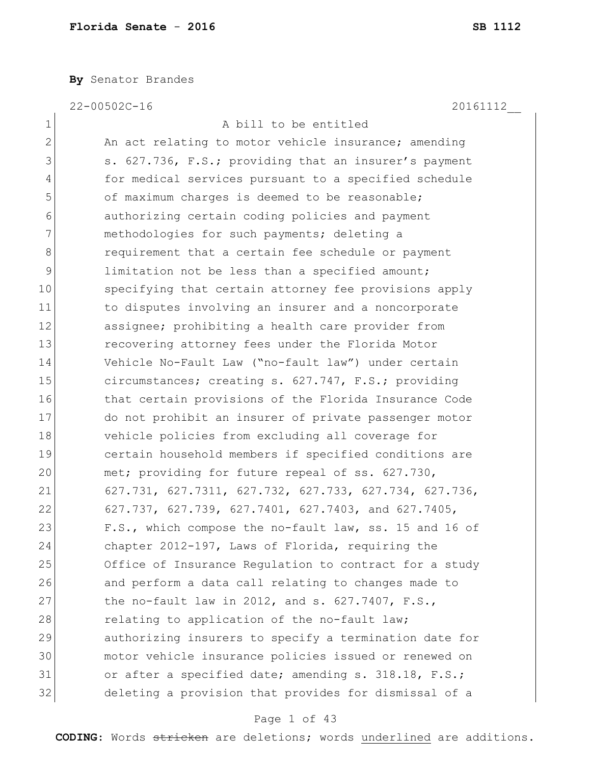**By** Senator Brandes

22-00502C-16 20161112\_\_

 $\mathbf{I}$ 

| $\mathbf 1$   | A bill to be entitled                                  |
|---------------|--------------------------------------------------------|
| $\mathbf{2}$  | An act relating to motor vehicle insurance; amending   |
| 3             | s. 627.736, F.S.; providing that an insurer's payment  |
| 4             | for medical services pursuant to a specified schedule  |
| 5             | of maximum charges is deemed to be reasonable;         |
| 6             | authorizing certain coding policies and payment        |
| 7             | methodologies for such payments; deleting a            |
| 8             | requirement that a certain fee schedule or payment     |
| $\mathcal{G}$ | limitation not be less than a specified amount;        |
| 10            | specifying that certain attorney fee provisions apply  |
| 11            | to disputes involving an insurer and a noncorporate    |
| 12            | assignee; prohibiting a health care provider from      |
| 13            | recovering attorney fees under the Florida Motor       |
| 14            | Vehicle No-Fault Law ("no-fault law") under certain    |
| 15            | circumstances; creating s. 627.747, F.S.; providing    |
| 16            | that certain provisions of the Florida Insurance Code  |
| 17            | do not prohibit an insurer of private passenger motor  |
| 18            | vehicle policies from excluding all coverage for       |
| 19            | certain household members if specified conditions are  |
| 20            | met; providing for future repeal of ss. 627.730,       |
| 21            | 627.731, 627.7311, 627.732, 627.733, 627.734, 627.736, |
| 22            | 627.737, 627.739, 627.7401, 627.7403, and 627.7405,    |
| 23            | F.S., which compose the no-fault law, ss. 15 and 16 of |
| 24            | chapter 2012-197, Laws of Florida, requiring the       |
| 25            | Office of Insurance Regulation to contract for a study |
| 26            | and perform a data call relating to changes made to    |
| 27            | the no-fault law in 2012, and s. $627.7407$ , F.S.,    |
| 28            | relating to application of the no-fault law;           |
| 29            | authorizing insurers to specify a termination date for |
| 30            | motor vehicle insurance policies issued or renewed on  |
| 31            | or after a specified date; amending s. 318.18, F.S.;   |
| 32            | deleting a provision that provides for dismissal of a  |

# Page 1 of 43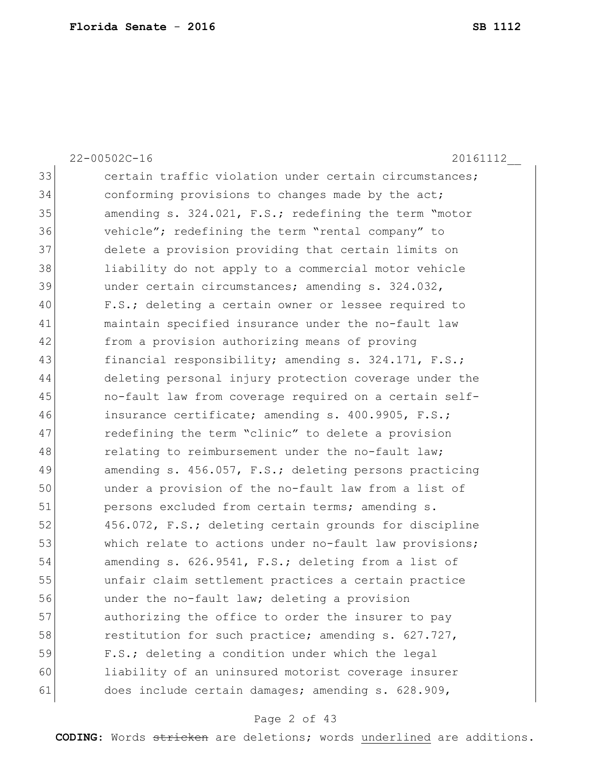22-00502C-16 20161112\_\_ 33 certain traffic violation under certain circumstances; 34 conforming provisions to changes made by the act; 35 amending s. 324.021, F.S.; redefining the term "motor 36 vehicle"; redefining the term "rental company" to 37 delete a provision providing that certain limits on 38 liability do not apply to a commercial motor vehicle 39 under certain circumstances; amending s. 324.032, 40 F.S.; deleting a certain owner or lessee required to 41 maintain specified insurance under the no-fault law 42 from a provision authorizing means of proving 43 financial responsibility; amending s. 324.171, F.S.; 44 deleting personal injury protection coverage under the 45 no-fault law from coverage required on a certain self-46 insurance certificate; amending s. 400.9905, F.S.; 47 redefining the term "clinic" to delete a provision 48 relating to reimbursement under the no-fault law; 49 amending s. 456.057, F.S.; deleting persons practicing 50 under a provision of the no-fault law from a list of 51 persons excluded from certain terms; amending s. 52 456.072, F.S.; deleting certain grounds for discipline 53 which relate to actions under no-fault law provisions; 54 amending s. 626.9541, F.S.; deleting from a list of 55 unfair claim settlement practices a certain practice 56 under the no-fault law; deleting a provision 57 authorizing the office to order the insurer to pay 58 restitution for such practice; amending s. 627.727, 59 F.S.; deleting a condition under which the legal 60 liability of an uninsured motorist coverage insurer 61 does include certain damages; amending s. 628.909,

## Page 2 of 43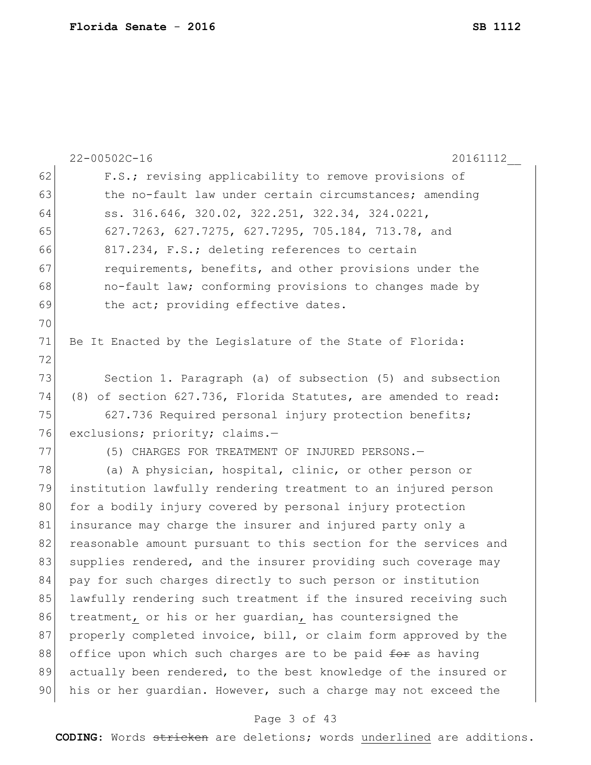|    | $22 - 00502C - 16$<br>20161112                                  |
|----|-----------------------------------------------------------------|
| 62 | F.S.; revising applicability to remove provisions of            |
| 63 | the no-fault law under certain circumstances; amending          |
| 64 | ss. 316.646, 320.02, 322.251, 322.34, 324.0221,                 |
| 65 | 627.7263, 627.7275, 627.7295, 705.184, 713.78, and              |
| 66 | 817.234, F.S.; deleting references to certain                   |
| 67 | requirements, benefits, and other provisions under the          |
| 68 | no-fault law; conforming provisions to changes made by          |
| 69 | the act; providing effective dates.                             |
| 70 |                                                                 |
| 71 | Be It Enacted by the Legislature of the State of Florida:       |
| 72 |                                                                 |
| 73 | Section 1. Paragraph (a) of subsection (5) and subsection       |
| 74 | (8) of section 627.736, Florida Statutes, are amended to read:  |
| 75 | 627.736 Required personal injury protection benefits;           |
| 76 | exclusions; priority; claims.-                                  |
| 77 | (5) CHARGES FOR TREATMENT OF INJURED PERSONS.-                  |
| 78 | (a) A physician, hospital, clinic, or other person or           |
| 79 | institution lawfully rendering treatment to an injured person   |
| 80 | for a bodily injury covered by personal injury protection       |
| 81 | insurance may charge the insurer and injured party only a       |
| 82 | reasonable amount pursuant to this section for the services and |
| 83 | supplies rendered, and the insurer providing such coverage may  |
| 84 | pay for such charges directly to such person or institution     |
| 85 | lawfully rendering such treatment if the insured receiving such |
| 86 | treatment, or his or her guardian, has countersigned the        |
| 87 | properly completed invoice, bill, or claim form approved by the |
| 88 | office upon which such charges are to be paid for as having     |
| 89 | actually been rendered, to the best knowledge of the insured or |
| 90 | his or her quardian. However, such a charge may not exceed the  |
|    |                                                                 |

# Page 3 of 43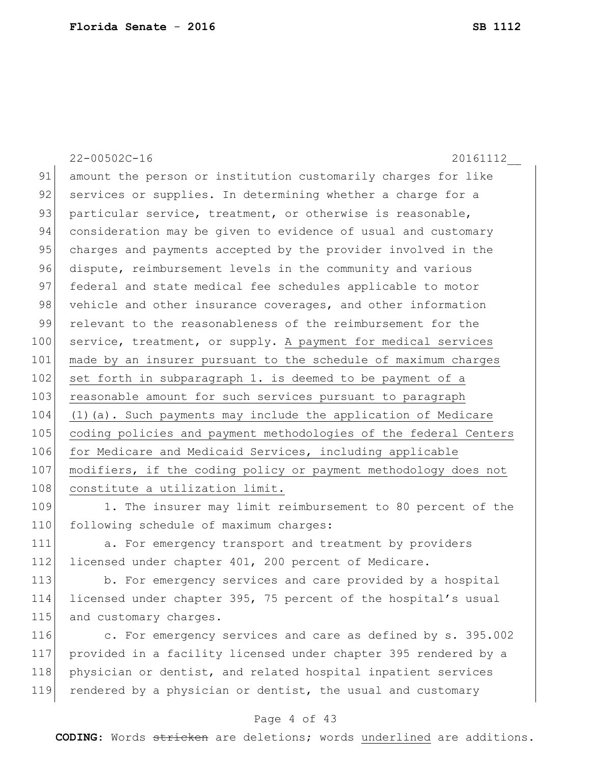22-00502C-16 20161112\_\_ 91 amount the person or institution customarily charges for like 92 services or supplies. In determining whether a charge for a 93 particular service, treatment, or otherwise is reasonable, 94 consideration may be given to evidence of usual and customary 95 charges and payments accepted by the provider involved in the 96 dispute, reimbursement levels in the community and various 97 federal and state medical fee schedules applicable to motor 98 vehicle and other insurance coverages, and other information 99 relevant to the reasonableness of the reimbursement for the 100 service, treatment, or supply. A payment for medical services 101 made by an insurer pursuant to the schedule of maximum charges  $102$  set forth in subparagraph 1. is deemed to be payment of a 103 reasonable amount for such services pursuant to paragraph 104 (1)(a). Such payments may include the application of Medicare 105 coding policies and payment methodologies of the federal Centers 106 for Medicare and Medicaid Services, including applicable 107 | modifiers, if the coding policy or payment methodology does not 108 constitute a utilization limit.

109 1. The insurer may limit reimbursement to 80 percent of the 110 following schedule of maximum charges:

111 a. For emergency transport and treatment by providers 112 licensed under chapter 401, 200 percent of Medicare.

113 b. For emergency services and care provided by a hospital 114 licensed under chapter 395, 75 percent of the hospital's usual 115 and customary charges.

116 c. For emergency services and care as defined by s. 395.002 provided in a facility licensed under chapter 395 rendered by a physician or dentist, and related hospital inpatient services rendered by a physician or dentist, the usual and customary

## Page 4 of 43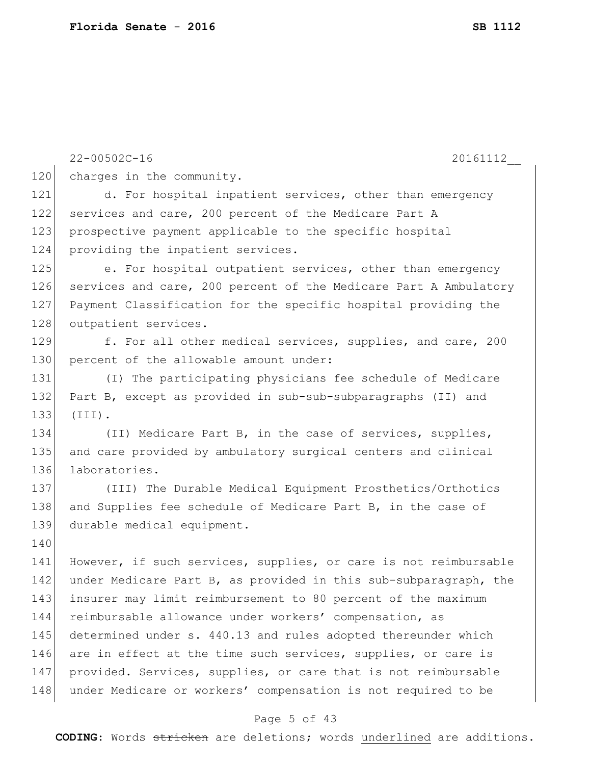|     | $22 - 00502C - 16$<br>20161112                                   |
|-----|------------------------------------------------------------------|
| 120 | charges in the community.                                        |
| 121 | d. For hospital inpatient services, other than emergency         |
| 122 | services and care, 200 percent of the Medicare Part A            |
| 123 | prospective payment applicable to the specific hospital          |
| 124 | providing the inpatient services.                                |
| 125 | e. For hospital outpatient services, other than emergency        |
| 126 | services and care, 200 percent of the Medicare Part A Ambulatory |
| 127 | Payment Classification for the specific hospital providing the   |
| 128 | outpatient services.                                             |
| 129 | f. For all other medical services, supplies, and care, 200       |
| 130 | percent of the allowable amount under:                           |
| 131 | (I) The participating physicians fee schedule of Medicare        |
| 132 | Part B, except as provided in sub-sub-subparagraphs (II) and     |
| 133 | $(TII)$ .                                                        |
| 134 | (II) Medicare Part B, in the case of services, supplies,         |
| 135 | and care provided by ambulatory surgical centers and clinical    |
| 136 | laboratories.                                                    |
| 137 | (III) The Durable Medical Equipment Prosthetics/Orthotics        |
| 138 | and Supplies fee schedule of Medicare Part B, in the case of     |
| 139 | durable medical equipment.                                       |
| 140 |                                                                  |
| 141 | However, if such services, supplies, or care is not reimbursable |
| 142 | under Medicare Part B, as provided in this sub-subparagraph, the |
| 143 | insurer may limit reimbursement to 80 percent of the maximum     |
| 144 | reimbursable allowance under workers' compensation, as           |
| 145 | determined under s. 440.13 and rules adopted thereunder which    |
| 146 | are in effect at the time such services, supplies, or care is    |
| 147 | provided. Services, supplies, or care that is not reimbursable   |
| 148 | under Medicare or workers' compensation is not required to be    |
|     |                                                                  |

# Page 5 of 43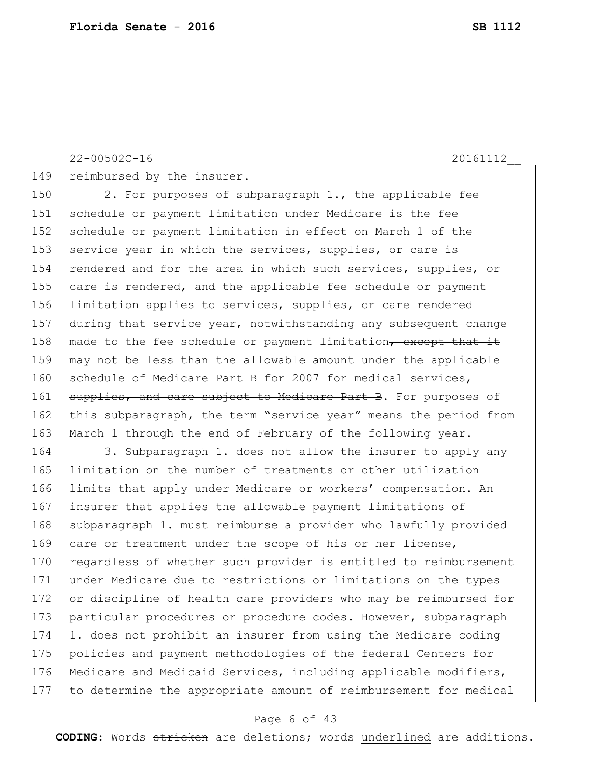149 reimbursed by the insurer.

150 2. For purposes of subparagraph 1., the applicable fee 151 schedule or payment limitation under Medicare is the fee 152 schedule or payment limitation in effect on March 1 of the 153 service year in which the services, supplies, or care is 154 rendered and for the area in which such services, supplies, or 155 care is rendered, and the applicable fee schedule or payment 156 limitation applies to services, supplies, or care rendered 157 during that service year, notwithstanding any subsequent change 158 made to the fee schedule or payment limitation, except that it 159 may not be less than the allowable amount under the applicable 160 schedule of Medicare Part B for 2007 for medical services, 161 supplies, and care subject to Medicare Part B. For purposes of 162 this subparagraph, the term "service year" means the period from 163 March 1 through the end of February of the following year.

 3. Subparagraph 1. does not allow the insurer to apply any limitation on the number of treatments or other utilization limits that apply under Medicare or workers' compensation. An insurer that applies the allowable payment limitations of 168 subparagraph 1. must reimburse a provider who lawfully provided 169 care or treatment under the scope of his or her license, 170 regardless of whether such provider is entitled to reimbursement under Medicare due to restrictions or limitations on the types or discipline of health care providers who may be reimbursed for 173 particular procedures or procedure codes. However, subparagraph 1. does not prohibit an insurer from using the Medicare coding policies and payment methodologies of the federal Centers for 176 Medicare and Medicaid Services, including applicable modifiers, to determine the appropriate amount of reimbursement for medical

## Page 6 of 43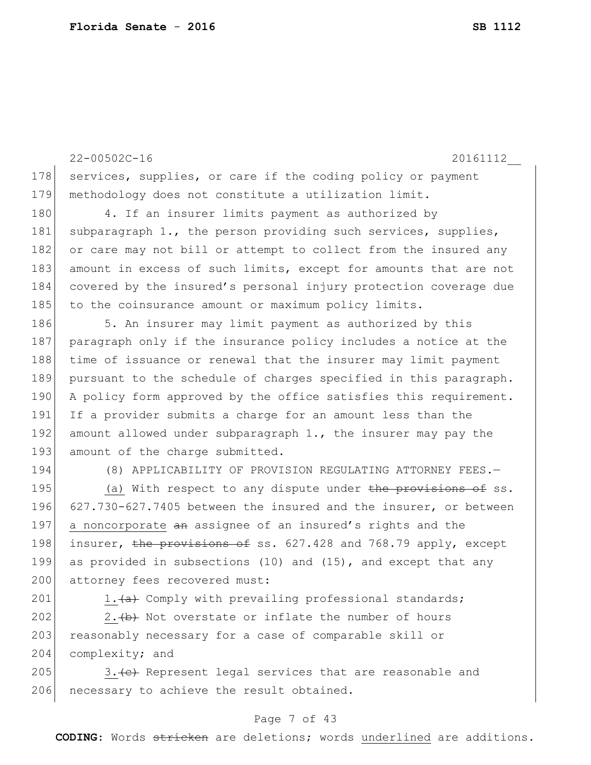22-00502C-16 20161112\_\_ 178 services, supplies, or care if the coding policy or payment 179 methodology does not constitute a utilization limit. 180 4. If an insurer limits payment as authorized by 181 subparagraph 1., the person providing such services, supplies, 182 or care may not bill or attempt to collect from the insured any 183 amount in excess of such limits, except for amounts that are not 184 covered by the insured's personal injury protection coverage due 185 to the coinsurance amount or maximum policy limits. 186 5. An insurer may limit payment as authorized by this 187 paragraph only if the insurance policy includes a notice at the 188 time of issuance or renewal that the insurer may limit payment 189 pursuant to the schedule of charges specified in this paragraph. 190 A policy form approved by the office satisfies this requirement. 191 If a provider submits a charge for an amount less than the 192 amount allowed under subparagraph  $1.$ , the insurer may pay the 193 amount of the charge submitted. 194 (8) APPLICABILITY OF PROVISION REGULATING ATTORNEY FEES.— 195 (a) With respect to any dispute under the provisions of ss.

196 627.730-627.7405 between the insured and the insurer, or between 197 a noncorporate an assignee of an insured's rights and the 198 insurer, the provisions of ss.  $627.428$  and  $768.79$  apply, except 199 as provided in subsections (10) and (15), and except that any 200 attorney fees recovered must:

201 1.  $\leftarrow$  1.  $\leftarrow$  Comply with prevailing professional standards;

202  $\vert$  2.  $\leftrightarrow$  Not overstate or inflate the number of hours 203 reasonably necessary for a case of comparable skill or 204 complexity; and

205  $\vert$  3.  $\left\{ \leftarrow \right\}$  Represent legal services that are reasonable and 206 necessary to achieve the result obtained.

## Page 7 of 43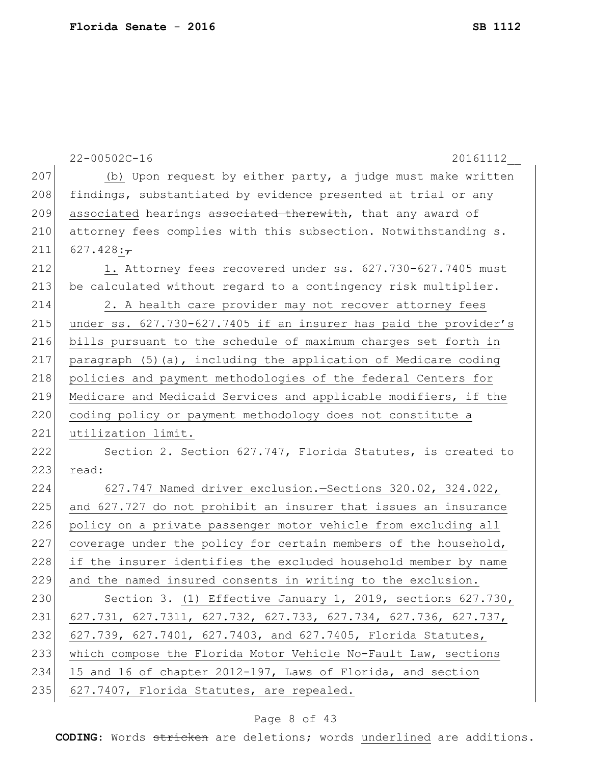|     | $22 - 00502C - 16$<br>20161112                                                       |
|-----|--------------------------------------------------------------------------------------|
| 207 | (b) Upon request by either party, a judge must make written                          |
| 208 | findings, substantiated by evidence presented at trial or any                        |
| 209 | associated hearings associated therewith, that any award of                          |
| 210 | attorney fees complies with this subsection. Notwithstanding s.                      |
| 211 | 627.428: $\frac{1}{7}$                                                               |
| 212 | 1. Attorney fees recovered under ss. 627.730-627.7405 must                           |
| 213 | be calculated without regard to a contingency risk multiplier.                       |
| 214 | 2. A health care provider may not recover attorney fees                              |
| 215 | under ss. 627.730-627.7405 if an insurer has paid the provider's                     |
| 216 | bills pursuant to the schedule of maximum charges set forth in                       |
| 217 | paragraph (5) (a), including the application of Medicare coding                      |
| 218 | policies and payment methodologies of the federal Centers for                        |
| 219 | Medicare and Medicaid Services and applicable modifiers, if the                      |
| 220 | coding policy or payment methodology does not constitute a                           |
| 221 | utilization limit.                                                                   |
| 222 | Section 2. Section 627.747, Florida Statutes, is created to                          |
| 223 | read:                                                                                |
| 224 | 627.747 Named driver exclusion. - Sections 320.02, 324.022,                          |
| 225 | and 627.727 do not prohibit an insurer that issues an insurance                      |
| 226 | policy on a private passenger motor vehicle from excluding all                       |
| 227 | coverage under the policy for certain members of the household,                      |
| 228 | if the insurer identifies the excluded household member by name                      |
| 229 | and the named insured consents in writing to the exclusion.                          |
| 230 | Section 3. (1) Effective January 1, 2019, sections 627.730,                          |
| 231 | $627.731$ , $627.7311$ , $627.732$ , $627.733$ , $627.734$ , $627.736$ , $627.737$ , |
| 232 | 627.739, 627.7401, 627.7403, and 627.7405, Florida Statutes,                         |
| 233 | which compose the Florida Motor Vehicle No-Fault Law, sections                       |
| 234 | 15 and 16 of chapter 2012-197, Laws of Florida, and section                          |
| 235 | 627.7407, Florida Statutes, are repealed.                                            |

# Page 8 of 43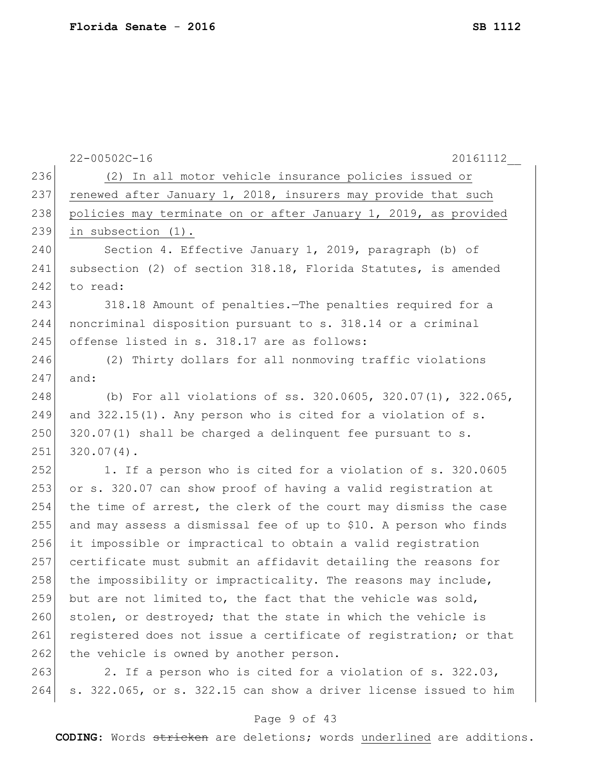|     | $22 - 00502C - 16$<br>20161112                                   |
|-----|------------------------------------------------------------------|
| 236 | (2) In all motor vehicle insurance policies issued or            |
| 237 | renewed after January 1, 2018, insurers may provide that such    |
| 238 | policies may terminate on or after January 1, 2019, as provided  |
| 239 | in subsection (1).                                               |
| 240 | Section 4. Effective January 1, 2019, paragraph (b) of           |
| 241 | subsection (2) of section 318.18, Florida Statutes, is amended   |
| 242 | to read:                                                         |
| 243 | 318.18 Amount of penalties. The penalties required for a         |
| 244 | noncriminal disposition pursuant to s. 318.14 or a criminal      |
| 245 | offense listed in s. 318.17 are as follows:                      |
| 246 | (2) Thirty dollars for all nonmoving traffic violations          |
| 247 | and:                                                             |
| 248 | (b) For all violations of ss. 320.0605, 320.07(1), 322.065,      |
| 249 | and 322.15(1). Any person who is cited for a violation of s.     |
| 250 | 320.07(1) shall be charged a delinquent fee pursuant to s.       |
| 251 | $320.07(4)$ .                                                    |
| 252 | 1. If a person who is cited for a violation of s. 320.0605       |
| 253 | or s. 320.07 can show proof of having a valid registration at    |
| 254 | the time of arrest, the clerk of the court may dismiss the case  |
| 255 | and may assess a dismissal fee of up to \$10. A person who finds |
| 256 | it impossible or impractical to obtain a valid registration      |
| 257 | certificate must submit an affidavit detailing the reasons for   |
| 258 | the impossibility or impracticality. The reasons may include,    |
| 259 | but are not limited to, the fact that the vehicle was sold,      |
| 260 | stolen, or destroyed; that the state in which the vehicle is     |
| 261 | registered does not issue a certificate of registration; or that |
| 262 | the vehicle is owned by another person.                          |
| 263 | 2. If a person who is cited for a violation of s. 322.03,        |
| 264 | s. 322.065, or s. 322.15 can show a driver license issued to him |

# Page 9 of 43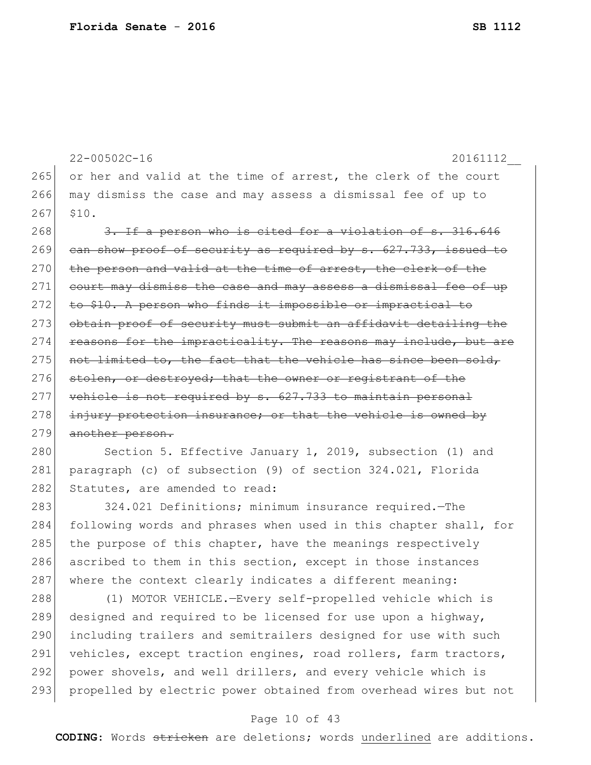```
22-00502C-16 20161112__
265 or her and valid at the time of arrest, the clerk of the court
266 may dismiss the case and may assess a dismissal fee of up to 
267 $10.
268 3. If a person who is cited for a violation of s. 316.646
269 can show proof of security as required by s. 627.733, issued to
270 the person and valid at the time of arrest, the clerk of the
271 court may dismiss the case and may assess a dismissal fee of up
272 to $10. A person who finds it impossible or impractical to
273 obtain proof of security must submit an affidavit detailing the
274 reasons for the impracticality. The reasons may include, but are
275 not limited to, the fact that the vehicle has since been sold,
276 stolen, or destroyed; that the owner or registrant of the
277 vehicle is not required by s. 627.733 to maintain personal
278 injury protection insurance; or that the vehicle is owned by
279 another person.
```
280 Section 5. Effective January 1, 2019, subsection (1) and 281 paragraph (c) of subsection (9) of section 324.021, Florida 282 Statutes, are amended to read:

283 324.021 Definitions; minimum insurance required.—The 284 following words and phrases when used in this chapter shall, for 285 the purpose of this chapter, have the meanings respectively 286 ascribed to them in this section, except in those instances 287 where the context clearly indicates a different meaning:

288 (1) MOTOR VEHICLE.—Every self-propelled vehicle which is 289 designed and required to be licensed for use upon a highway, 290 including trailers and semitrailers designed for use with such 291 vehicles, except traction engines, road rollers, farm tractors, 292 power shovels, and well drillers, and every vehicle which is 293 propelled by electric power obtained from overhead wires but not

## Page 10 of 43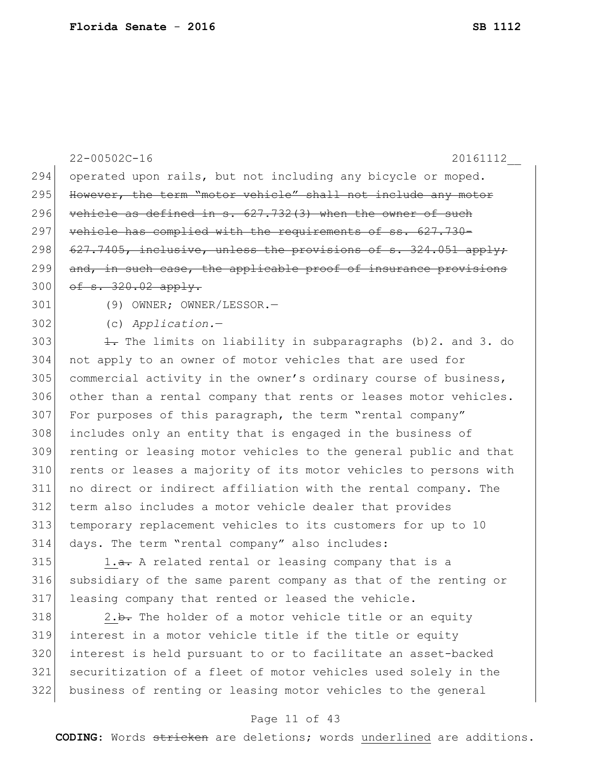|     | $22 - 00502C - 16$<br>20161112                                   |
|-----|------------------------------------------------------------------|
| 294 | operated upon rails, but not including any bicycle or moped.     |
| 295 | However, the term "motor vehicle" shall not include any motor    |
| 296 | vehicle as defined in s. 627.732(3) when the owner of such       |
| 297 | vehicle has complied with the requirements of ss. 627.730-       |
| 298 | 627.7405, inclusive, unless the provisions of s. 324.051 apply;  |
| 299 | and, in such case, the applicable proof of insurance provisions  |
| 300 | of $s. 320.02$ apply.                                            |
| 301 | (9) OWNER; OWNER/LESSOR.-                                        |
| 302 | $(c)$ Application.-                                              |
| 303 | 1. The limits on liability in subparagraphs (b) 2. and 3. do     |
| 304 | not apply to an owner of motor vehicles that are used for        |
| 305 | commercial activity in the owner's ordinary course of business,  |
| 306 | other than a rental company that rents or leases motor vehicles. |
| 307 | For purposes of this paragraph, the term "rental company"        |
| 308 | includes only an entity that is engaged in the business of       |
| 309 | renting or leasing motor vehicles to the general public and that |
| 310 | rents or leases a majority of its motor vehicles to persons with |
| 311 | no direct or indirect affiliation with the rental company. The   |
| 312 | term also includes a motor vehicle dealer that provides          |
| 313 | temporary replacement vehicles to its customers for up to 10     |
| 314 | days. The term "rental company" also includes:                   |
| 315 | 1.a. A related rental or leasing company that is a               |
| 316 | subsidiary of the same parent company as that of the renting or  |
| 317 | leasing company that rented or leased the vehicle.               |
| 318 | 2.b. The holder of a motor vehicle title or an equity            |

 interest in a motor vehicle title if the title or equity interest is held pursuant to or to facilitate an asset-backed securitization of a fleet of motor vehicles used solely in the business of renting or leasing motor vehicles to the general

## Page 11 of 43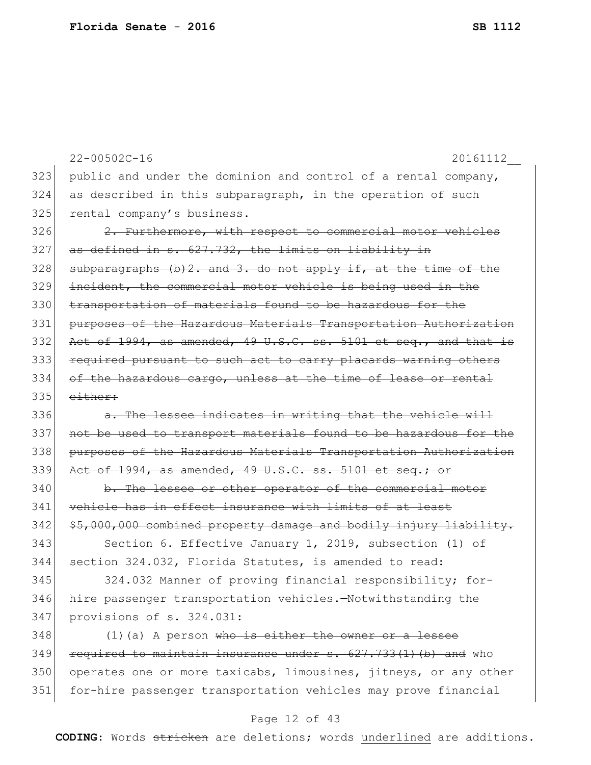|     | $22 - 00502C - 16$<br>20161112                                    |
|-----|-------------------------------------------------------------------|
| 323 | public and under the dominion and control of a rental company,    |
| 324 | as described in this subparagraph, in the operation of such       |
| 325 | rental company's business.                                        |
| 326 | 2. Furthermore, with respect to commercial motor vehicles         |
| 327 | as defined in s. 627.732, the limits on liability in              |
| 328 | subparagraphs (b) 2. and 3. do not apply if, at the time of the   |
| 329 | incident, the commercial motor vehicle is being used in the       |
| 330 | transportation of materials found to be hazardous for the         |
| 331 | purposes of the Hazardous Materials Transportation Authorization  |
| 332 | Act of 1994, as amended, 49 U.S.C. ss. 5101 et seq., and that is  |
| 333 | required pursuant to such act to carry placards warning others    |
| 334 | of the hazardous cargo, unless at the time of lease or rental     |
| 335 | either:                                                           |
| 336 | a. The lessee indicates in writing that the vehicle will          |
| 337 | not be used to transport materials found to be hazardous for the  |
| 338 | purposes of the Hazardous Materials Transportation Authorization  |
| 339 | Act of 1994, as amended, 49 U.S.C. ss. 5101 et seq.; or           |
| 340 | b. The lessee or other operator of the commercial motor           |
| 341 | vehicle has in effect insurance with limits of at least           |
| 342 | \$5,000,000 combined property damage and bodily injury liability. |
| 343 | Section 6. Effective January 1, 2019, subsection (1) of           |
| 344 | section 324.032, Florida Statutes, is amended to read:            |
| 345 | 324.032 Manner of proving financial responsibility; for-          |
| 346 | hire passenger transportation vehicles.-Notwithstanding the       |
| 347 | provisions of s. 324.031:                                         |
| 348 | $(1)$ (a) A person who is either the owner or a lessee            |
| 349 | required to maintain insurance under s. 627.733(1)(b) and who     |
| 350 | operates one or more taxicabs, limousines, jitneys, or any other  |
| 351 | for-hire passenger transportation vehicles may prove financial    |
|     |                                                                   |

# Page 12 of 43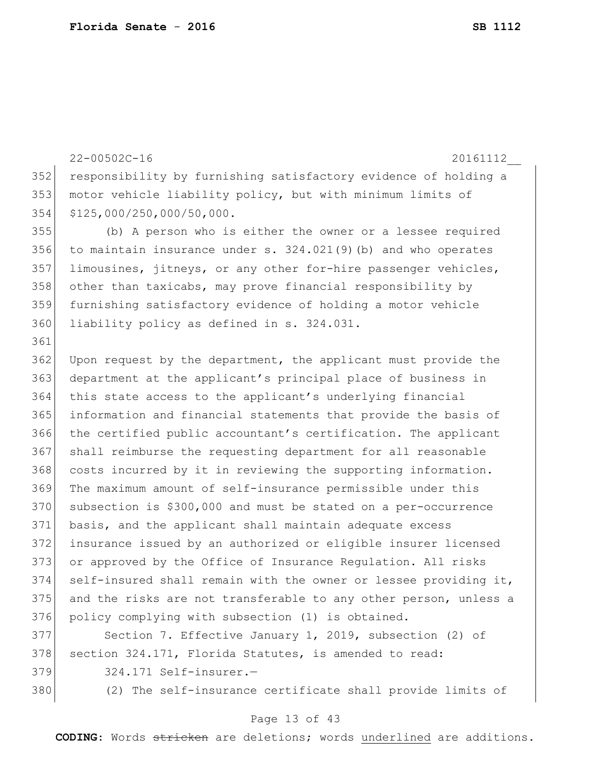22-00502C-16 20161112\_\_ 352 responsibility by furnishing satisfactory evidence of holding a 353 motor vehicle liability policy, but with minimum limits of 354 \$125,000/250,000/50,000. 355 (b) A person who is either the owner or a lessee required 356 to maintain insurance under s.  $324.021(9)$  (b) and who operates 357 limousines, jitneys, or any other for-hire passenger vehicles, 358 other than taxicabs, may prove financial responsibility by 359 furnishing satisfactory evidence of holding a motor vehicle 360 liability policy as defined in s. 324.031. 361 362 Upon request by the department, the applicant must provide the 363 department at the applicant's principal place of business in 364 this state access to the applicant's underlying financial 365 information and financial statements that provide the basis of 366 the certified public accountant's certification. The applicant 367 shall reimburse the requesting department for all reasonable 368 costs incurred by it in reviewing the supporting information. 369 The maximum amount of self-insurance permissible under this 370 subsection is \$300,000 and must be stated on a per-occurrence 371 basis, and the applicant shall maintain adequate excess 372 insurance issued by an authorized or eligible insurer licensed 373 or approved by the Office of Insurance Regulation. All risks  $374$  self-insured shall remain with the owner or lessee providing it, 375 and the risks are not transferable to any other person, unless a 376 policy complying with subsection (1) is obtained. 377 Section 7. Effective January 1, 2019, subsection (2) of 378 section 324.171, Florida Statutes, is amended to read: 379 324.171 Self-insurer.-

380 (2) The self-insurance certificate shall provide limits of

## Page 13 of 43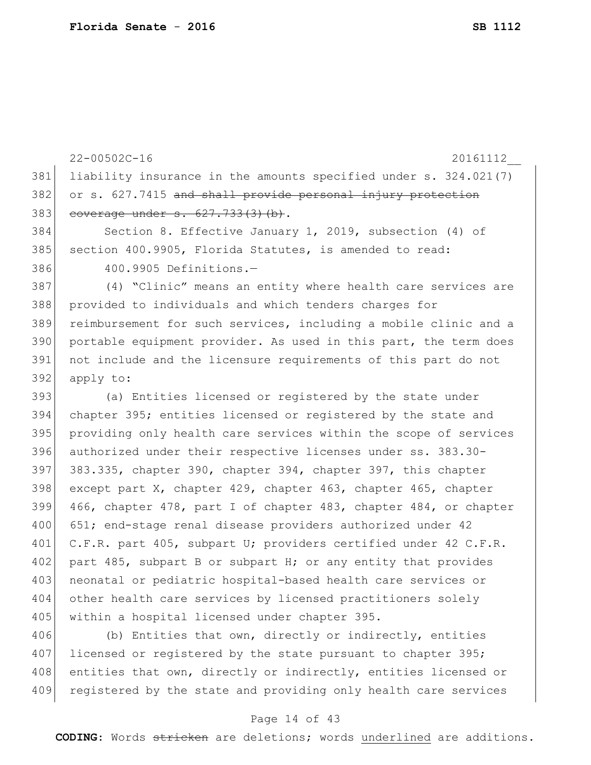|     | $22 - 00502C - 16$<br>20161112                                   |
|-----|------------------------------------------------------------------|
| 381 | liability insurance in the amounts specified under s. 324.021(7) |
| 382 | or s. 627.7415 and shall provide personal injury protection      |
| 383 | coverage under s. 627.733(3)(b).                                 |
| 384 | Section 8. Effective January 1, 2019, subsection (4) of          |
| 385 | section 400.9905, Florida Statutes, is amended to read:          |
| 386 | 400.9905 Definitions.-                                           |
| 387 | (4) "Clinic" means an entity where health care services are      |
| 388 | provided to individuals and which tenders charges for            |
| 389 | reimbursement for such services, including a mobile clinic and a |
| 390 | portable equipment provider. As used in this part, the term does |
| 391 | not include and the licensure requirements of this part do not   |
| 392 | apply to:                                                        |
| 393 | (a) Entities licensed or registered by the state under           |
| 394 | chapter 395; entities licensed or registered by the state and    |
| 395 | providing only health care services within the scope of services |
| 396 | authorized under their respective licenses under ss. 383.30-     |
| 397 | 383.335, chapter 390, chapter 394, chapter 397, this chapter     |
| 398 | except part X, chapter 429, chapter 463, chapter 465, chapter    |
| 399 | 466, chapter 478, part I of chapter 483, chapter 484, or chapter |
| 400 | 651; end-stage renal disease providers authorized under 42       |
| 401 | C.F.R. part 405, subpart U; providers certified under 42 C.F.R.  |
| 402 | part 485, subpart B or subpart H; or any entity that provides    |
| 403 | neonatal or pediatric hospital-based health care services or     |
| 404 | other health care services by licensed practitioners solely      |
| 405 | within a hospital licensed under chapter 395.                    |
| 406 | (b) Entities that own, directly or indirectly, entities          |
|     |                                                                  |

407 licensed or registered by the state pursuant to chapter 395; 408 entities that own, directly or indirectly, entities licensed or 409 registered by the state and providing only health care services

## Page 14 of 43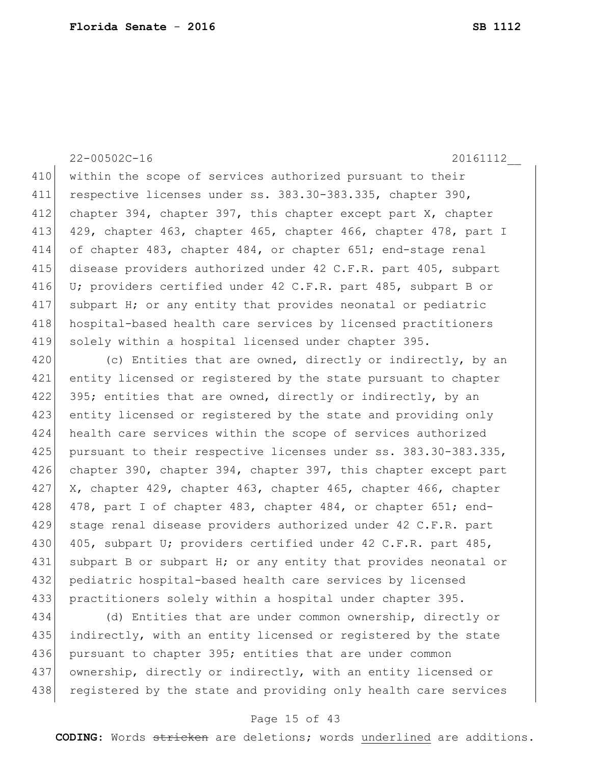410 within the scope of services authorized pursuant to their 411 respective licenses under ss. 383.30-383.335, chapter 390, 412 chapter 394, chapter 397, this chapter except part X, chapter 413 429, chapter 463, chapter 465, chapter 466, chapter 478, part I 414 of chapter 483, chapter 484, or chapter 651; end-stage renal 415 disease providers authorized under 42 C.F.R. part 405, subpart 416 U; providers certified under 42 C.F.R. part 485, subpart B or 417 subpart H; or any entity that provides neonatal or pediatric 418 hospital-based health care services by licensed practitioners 419 solely within a hospital licensed under chapter 395.

420 (c) Entities that are owned, directly or indirectly, by an 421 entity licensed or registered by the state pursuant to chapter 422 395; entities that are owned, directly or indirectly, by an 423 entity licensed or registered by the state and providing only 424 health care services within the scope of services authorized 425 pursuant to their respective licenses under ss. 383.30-383.335, 426 chapter 390, chapter 394, chapter 397, this chapter except part 427 X, chapter 429, chapter 463, chapter 465, chapter 466, chapter 428 478, part I of chapter 483, chapter 484, or chapter  $651$ ; end-429 stage renal disease providers authorized under 42 C.F.R. part 430 405, subpart U; providers certified under 42 C.F.R. part 485, 431 subpart B or subpart H; or any entity that provides neonatal or 432 | pediatric hospital-based health care services by licensed 433 practitioners solely within a hospital under chapter 395.

434 (d) Entities that are under common ownership, directly or 435 indirectly, with an entity licensed or registered by the state 436 pursuant to chapter 395; entities that are under common 437 ownership, directly or indirectly, with an entity licensed or 438 registered by the state and providing only health care services

## Page 15 of 43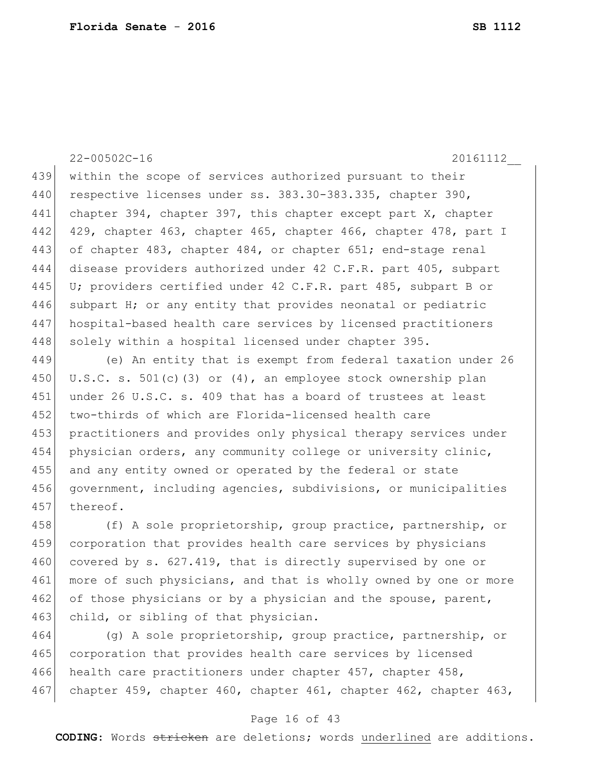22-00502C-16 20161112\_\_ 439 within the scope of services authorized pursuant to their 440 respective licenses under ss. 383.30-383.335, chapter 390, 441 chapter 394, chapter 397, this chapter except part X, chapter 442 429, chapter 463, chapter 465, chapter 466, chapter 478, part I 443 of chapter 483, chapter 484, or chapter 651; end-stage renal 444 disease providers authorized under 42 C.F.R. part 405, subpart 445 U; providers certified under 42 C.F.R. part 485, subpart B or 446 subpart H; or any entity that provides neonatal or pediatric 447 hospital-based health care services by licensed practitioners 448 solely within a hospital licensed under chapter 395.

449 (e) An entity that is exempt from federal taxation under 26 450 U.S.C. s. 501(c)(3) or  $(4)$ , an employee stock ownership plan 451 under 26 U.S.C. s. 409 that has a board of trustees at least 452 two-thirds of which are Florida-licensed health care 453 practitioners and provides only physical therapy services under 454 physician orders, any community college or university clinic, 455 and any entity owned or operated by the federal or state 456 government, including agencies, subdivisions, or municipalities 457 thereof.

458 (f) A sole proprietorship, group practice, partnership, or 459 corporation that provides health care services by physicians 460 covered by s. 627.419, that is directly supervised by one or 461 more of such physicians, and that is wholly owned by one or more 462 of those physicians or by a physician and the spouse, parent, 463 child, or sibling of that physician.

464 (g) A sole proprietorship, group practice, partnership, or 465 corporation that provides health care services by licensed 466 health care practitioners under chapter 457, chapter 458, 467 chapter 459, chapter 460, chapter 461, chapter 462, chapter 463,

## Page 16 of 43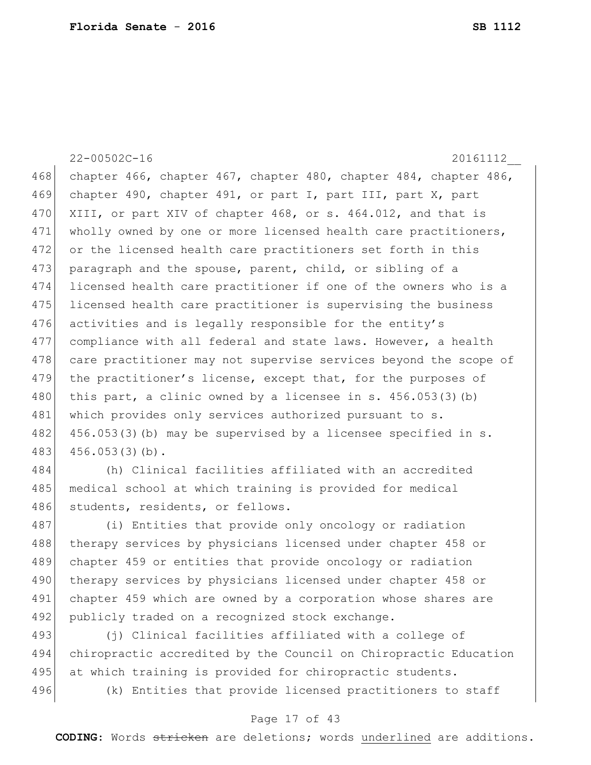22-00502C-16 20161112\_\_ 468 chapter 466, chapter 467, chapter 480, chapter 484, chapter 486, 469 chapter 490, chapter 491, or part I, part III, part X, part 470 XIII, or part XIV of chapter 468, or s. 464.012, and that is 471 wholly owned by one or more licensed health care practitioners, 472 or the licensed health care practitioners set forth in this 473 paragraph and the spouse, parent, child, or sibling of a 474 licensed health care practitioner if one of the owners who is a 475 licensed health care practitioner is supervising the business 476 activities and is legally responsible for the entity's 477 compliance with all federal and state laws. However, a health 478 care practitioner may not supervise services beyond the scope of 479 the practitioner's license, except that, for the purposes of 480 this part, a clinic owned by a licensee in s. 456.053(3)(b) 481 which provides only services authorized pursuant to s. 482 456.053(3)(b) may be supervised by a licensee specified in s. 483 456.053(3)(b). 484 (h) Clinical facilities affiliated with an accredited 485 medical school at which training is provided for medical

486 students, residents, or fellows.

487 (i) Entities that provide only oncology or radiation 488 therapy services by physicians licensed under chapter 458 or 489 chapter 459 or entities that provide oncology or radiation 490 | therapy services by physicians licensed under chapter 458 or 491 chapter 459 which are owned by a corporation whose shares are 492 publicly traded on a recognized stock exchange.

493 (j) Clinical facilities affiliated with a college of 494 chiropractic accredited by the Council on Chiropractic Education 495 at which training is provided for chiropractic students. 496 (k) Entities that provide licensed practitioners to staff

## Page 17 of 43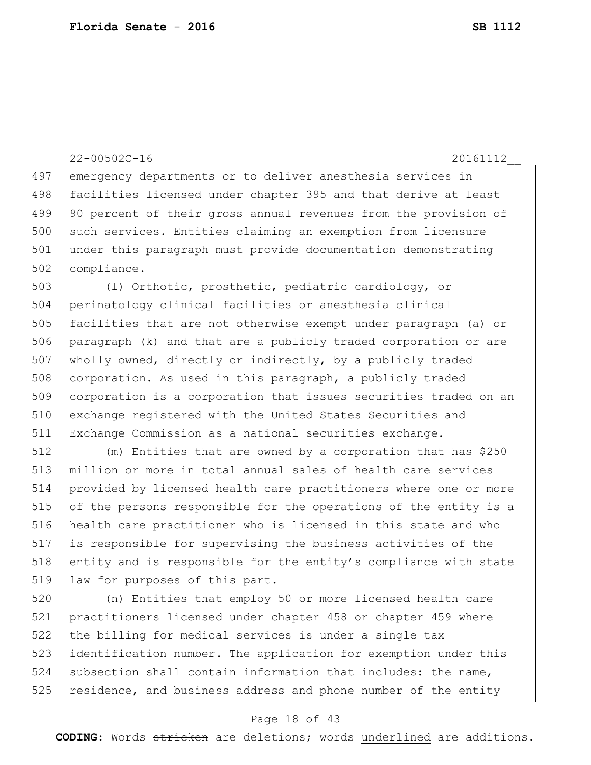22-00502C-16 20161112\_\_ emergency departments or to deliver anesthesia services in 498 facilities licensed under chapter 395 and that derive at least 499 90 percent of their gross annual revenues from the provision of 500 such services. Entities claiming an exemption from licensure under this paragraph must provide documentation demonstrating 502 compliance. 503 (1) Orthotic, prosthetic, pediatric cardiology, or perinatology clinical facilities or anesthesia clinical facilities that are not otherwise exempt under paragraph (a) or paragraph (k) and that are a publicly traded corporation or are 507 wholly owned, directly or indirectly, by a publicly traded 508 corporation. As used in this paragraph, a publicly traded corporation is a corporation that issues securities traded on an exchange registered with the United States Securities and Exchange Commission as a national securities exchange. (m) Entities that are owned by a corporation that has \$250 million or more in total annual sales of health care services provided by licensed health care practitioners where one or more of the persons responsible for the operations of the entity is a health care practitioner who is licensed in this state and who

517 is responsible for supervising the business activities of the 518 entity and is responsible for the entity's compliance with state 519 law for purposes of this part.

 (n) Entities that employ 50 or more licensed health care practitioners licensed under chapter 458 or chapter 459 where the billing for medical services is under a single tax 523 identification number. The application for exemption under this subsection shall contain information that includes: the name, 525 residence, and business address and phone number of the entity

## Page 18 of 43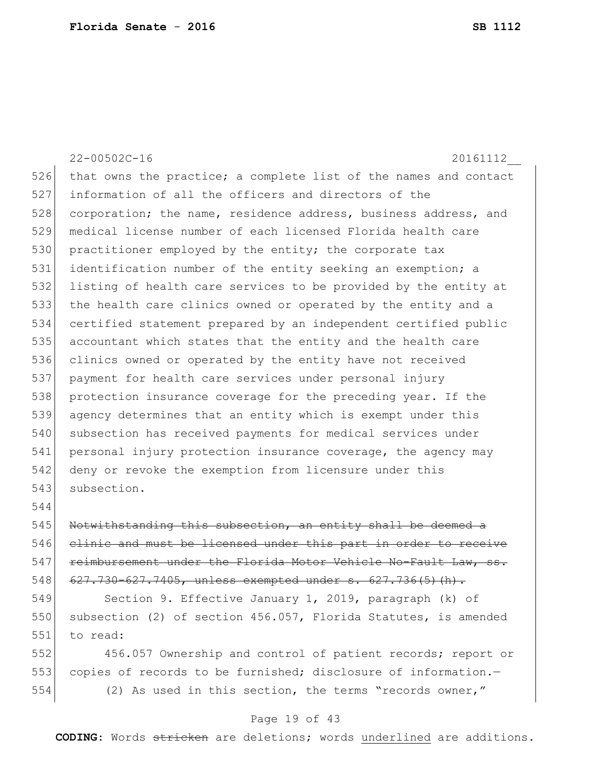22-00502C-16 20161112\_\_ 526 that owns the practice; a complete list of the names and contact 527 information of all the officers and directors of the 528 corporation; the name, residence address, business address, and 529 medical license number of each licensed Florida health care 530 practitioner employed by the entity; the corporate tax 531 identification number of the entity seeking an exemption; a 532 listing of health care services to be provided by the entity at 533 the health care clinics owned or operated by the entity and a 534 certified statement prepared by an independent certified public 535 accountant which states that the entity and the health care 536 clinics owned or operated by the entity have not received 537 payment for health care services under personal injury 538 protection insurance coverage for the preceding year. If the 539 agency determines that an entity which is exempt under this 540 subsection has received payments for medical services under 541 personal injury protection insurance coverage, the agency may 542 deny or revoke the exemption from licensure under this 543 subsection. 544 545 Notwithstanding this subsection, an entity shall be deemed a 546 clinic and must be licensed under this part in order to receive 547 reimbursement under the Florida Motor Vehicle No-Fault Law, ss. 548 627.730-627.7405, unless exempted under s. 627.736(5)(h). 549 Section 9. Effective January 1, 2019, paragraph (k) of 550 subsection (2) of section 456.057, Florida Statutes, is amended 551 to read:

552 456.057 Ownership and control of patient records; report or 553 copies of records to be furnished; disclosure of information. 554 (2) As used in this section, the terms "records owner,"

## Page 19 of 43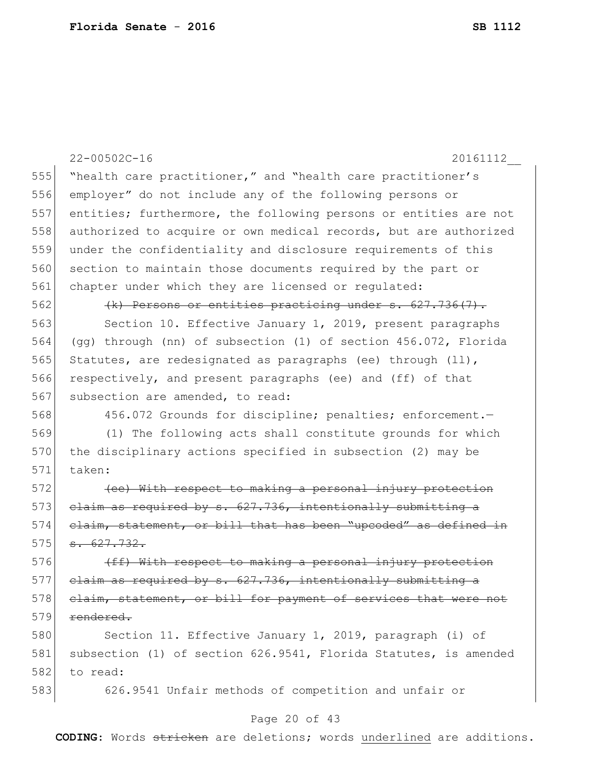|     | $22 - 00502C - 16$<br>20161112                                   |
|-----|------------------------------------------------------------------|
| 555 | "health care practitioner," and "health care practitioner's      |
| 556 | employer" do not include any of the following persons or         |
| 557 | entities; furthermore, the following persons or entities are not |
| 558 | authorized to acquire or own medical records, but are authorized |
| 559 | under the confidentiality and disclosure requirements of this    |
| 560 | section to maintain those documents required by the part or      |
| 561 | chapter under which they are licensed or regulated:              |
| 562 | $(k)$ Persons or entities practicing under s. 627.736(7).        |
| 563 | Section 10. Effective January 1, 2019, present paragraphs        |
| 564 | (gg) through (nn) of subsection (1) of section 456.072, Florida  |
| 565 | Statutes, are redesignated as paragraphs (ee) through (11),      |
| 566 | respectively, and present paragraphs (ee) and (ff) of that       |
| 567 | subsection are amended, to read:                                 |
| 568 | 456.072 Grounds for discipline; penalties; enforcement.-         |
| 569 | (1) The following acts shall constitute grounds for which        |
| 570 | the disciplinary actions specified in subsection (2) may be      |
| 571 | taken:                                                           |
| 572 | (ee) With respect to making a personal injury protection         |
| 573 | claim as required by s. 627.736, intentionally submitting a      |
| 574 | elaim, statement, or bill that has been "upcoded" as defined in  |
| 575 | $-627.732.$                                                      |
| 576 | (ff) With respect to making a personal injury protection         |
| 577 | elaim as required by s. 627.736, intentionally submitting a      |
| 578 | elaim, statement, or bill for payment of services that were not  |
| 579 | rendered.                                                        |
| 580 | Section 11. Effective January 1, 2019, paragraph (i) of          |
| 581 | subsection (1) of section 626.9541, Florida Statutes, is amended |
| 582 | to read:                                                         |
| 583 | 626.9541 Unfair methods of competition and unfair or             |
|     |                                                                  |

# Page 20 of 43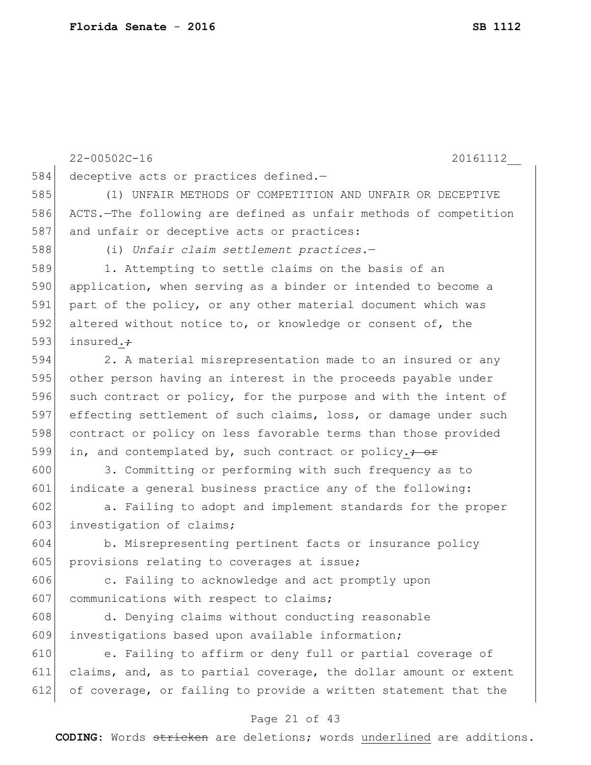|     | $22 - 00502C - 16$<br>20161112                                    |
|-----|-------------------------------------------------------------------|
| 584 | deceptive acts or practices defined.-                             |
| 585 | (1) UNFAIR METHODS OF COMPETITION AND UNFAIR OR DECEPTIVE         |
| 586 | ACTS.-The following are defined as unfair methods of competition  |
| 587 | and unfair or deceptive acts or practices:                        |
| 588 | (i) Unfair claim settlement practices.-                           |
| 589 | 1. Attempting to settle claims on the basis of an                 |
| 590 | application, when serving as a binder or intended to become a     |
| 591 | part of the policy, or any other material document which was      |
| 592 | altered without notice to, or knowledge or consent of, the        |
| 593 | insured.+                                                         |
| 594 | 2. A material misrepresentation made to an insured or any         |
| 595 | other person having an interest in the proceeds payable under     |
| 596 | such contract or policy, for the purpose and with the intent of   |
| 597 | effecting settlement of such claims, loss, or damage under such   |
| 598 | contract or policy on less favorable terms than those provided    |
| 599 | in, and contemplated by, such contract or policy. <del>; or</del> |
| 600 | 3. Committing or performing with such frequency as to             |
| 601 | indicate a general business practice any of the following:        |
| 602 | a. Failing to adopt and implement standards for the proper        |
| 603 | investigation of claims;                                          |
| 604 | b. Misrepresenting pertinent facts or insurance policy            |
| 605 | provisions relating to coverages at issue;                        |
| 606 | c. Failing to acknowledge and act promptly upon                   |
| 607 | communications with respect to claims;                            |
| 608 | d. Denying claims without conducting reasonable                   |
| 609 | investigations based upon available information;                  |
| 610 | e. Failing to affirm or deny full or partial coverage of          |
| 611 | claims, and, as to partial coverage, the dollar amount or extent  |
| 612 | of coverage, or failing to provide a written statement that the   |

# Page 21 of 43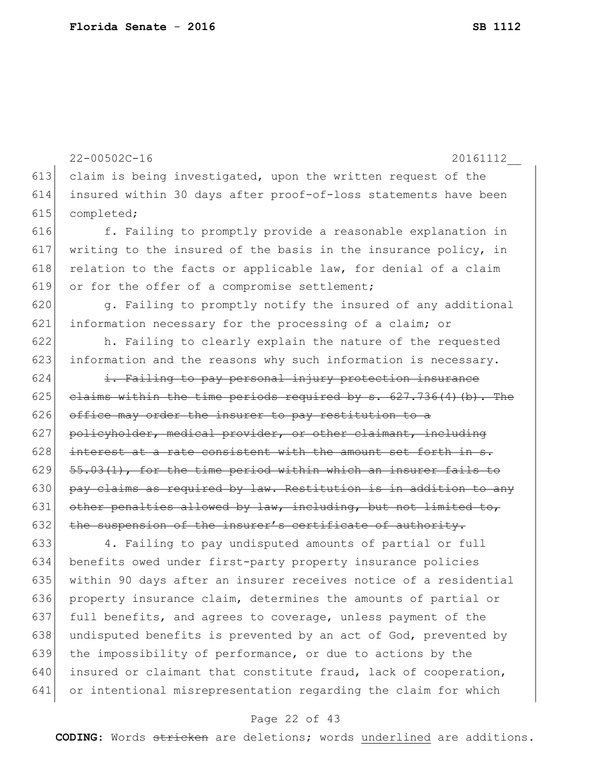```
613 claim is being investigated, upon the written request of the
614 insured within 30 days after proof-of-loss statements have been 
615 completed;
616 f. Failing to promptly provide a reasonable explanation in
617 writing to the insured of the basis in the insurance policy, in
618 relation to the facts or applicable law, for denial of a claim
619 or for the offer of a compromise settlement;
620 g. Failing to promptly notify the insured of any additional
621 information necessary for the processing of a claim; or
622 h. Failing to clearly explain the nature of the requested 
623 information and the reasons why such information is necessary.
624 i. Failing to pay personal injury protection insurance
625 claims within the time periods required by s. 627.736(4)(b). The
626 office may order the insurer to pay restitution to a
627 policyholder, medical provider, or other claimant, including 
628 interest at a rate consistent with the amount set forth in s.
629 \left[55.03(1)\right], for the time period within which an insurer fails to
630 pay claims as required by law. Restitution is in addition to any
631 other penalties allowed by law, including, but not limited to,
632 the suspension of the insurer's certificate of authority.
633 4. Failing to pay undisputed amounts of partial or full 
634 benefits owed under first-party property insurance policies 
635 within 90 days after an insurer receives notice of a residential 
636 property insurance claim, determines the amounts of partial or 
637 full benefits, and agrees to coverage, unless payment of the
638 undisputed benefits is prevented by an act of God, prevented by
639 the impossibility of performance, or due to actions by the
640 insured or claimant that constitute fraud, lack of cooperation,
641 or intentional misrepresentation regarding the claim for which
```
#### Page 22 of 43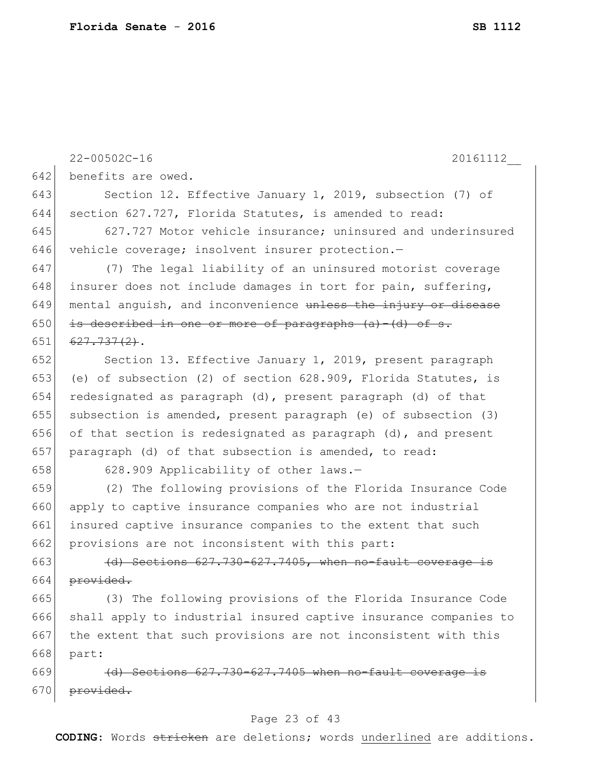22-00502C-16 20161112\_\_ 642 benefits are owed. 643 Section 12. Effective January 1, 2019, subsection (7) of 644 section 627.727, Florida Statutes, is amended to read: 645 627.727 Motor vehicle insurance; uninsured and underinsured 646 vehicle coverage; insolvent insurer protection.-647 (7) The legal liability of an uninsured motorist coverage 648 insurer does not include damages in tort for pain, suffering,  $649$  mental anguish, and inconvenience unless the injury or disease 650 is described in one or more of paragraphs  $(a) - (d)$  of s. 651 6<del>27.737(2)</del>. 652 Section 13. Effective January 1, 2019, present paragraph 653 (e) of subsection (2) of section 628.909, Florida Statutes, is 654 redesignated as paragraph (d), present paragraph (d) of that 655 subsection is amended, present paragraph (e) of subsection (3) 656 of that section is redesignated as paragraph (d), and present 657 paragraph (d) of that subsection is amended, to read: 658 628.909 Applicability of other laws.-659 (2) The following provisions of the Florida Insurance Code 660 apply to captive insurance companies who are not industrial 661 insured captive insurance companies to the extent that such 662 provisions are not inconsistent with this part:  $663$  (d) Sections  $627.730-627.7405$ , when no-fault coverage is 664  $previded.$ 665 (3) The following provisions of the Florida Insurance Code 666 shall apply to industrial insured captive insurance companies to 667 the extent that such provisions are not inconsistent with this 668 part:  $669$  (d) Sections  $627.730-627.7405$  when no-fault coverage 670 provided.

## Page 23 of 43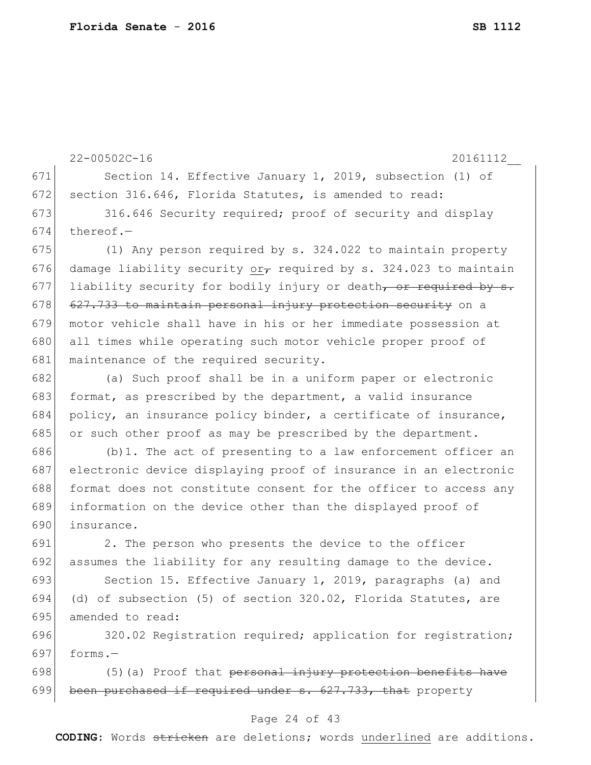22-00502C-16 20161112\_\_ 671 Section 14. Effective January 1, 2019, subsection (1) of 672 section 316.646, Florida Statutes, is amended to read: 673 316.646 Security required; proof of security and display  $674$  thereof.-675 (1) Any person required by s. 324.022 to maintain property 676 damage liability security or, required by s. 324.023 to maintain 677 liability security for bodily injury or death, or required by  $s$ .  $678$  627.733 to maintain personal injury protection security on a 679 motor vehicle shall have in his or her immediate possession at 680 all times while operating such motor vehicle proper proof of 681 maintenance of the required security. 682 (a) Such proof shall be in a uniform paper or electronic 683 format, as prescribed by the department, a valid insurance 684 policy, an insurance policy binder, a certificate of insurance, 685 or such other proof as may be prescribed by the department.  $686$  (b)1. The act of presenting to a law enforcement officer an 687 electronic device displaying proof of insurance in an electronic 688 format does not constitute consent for the officer to access any 689 information on the device other than the displayed proof of 690 insurance. 691 2. The person who presents the device to the officer 692 assumes the liability for any resulting damage to the device. 693 Section 15. Effective January 1, 2019, paragraphs (a) and 694 (d) of subsection (5) of section 320.02, Florida Statutes, are 695 amended to read: 696 320.02 Registration required; application for registration; 697  $f \circ rms -$ 698  $(5)$  (a) Proof that personal injury protection benefits have 699 been purchased if required under  $s. 627.733$ , that property

## Page 24 of 43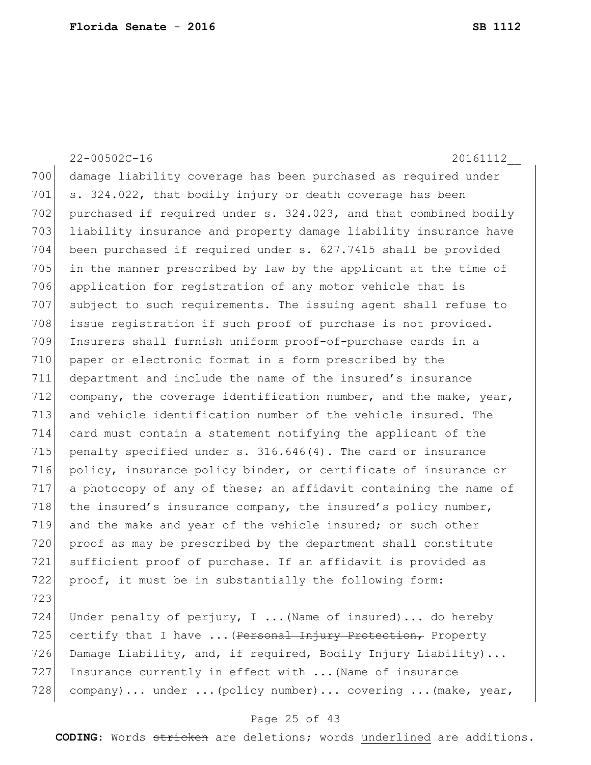22-00502C-16 20161112\_\_ 700 damage liability coverage has been purchased as required under 701  $\vert$  s. 324.022, that bodily injury or death coverage has been 702 purchased if required under s. 324.023, and that combined bodily 703 liability insurance and property damage liability insurance have 704 been purchased if required under s. 627.7415 shall be provided 705 in the manner prescribed by law by the applicant at the time of 706 application for registration of any motor vehicle that is 707 subject to such requirements. The issuing agent shall refuse to 708 issue registration if such proof of purchase is not provided. 709 Insurers shall furnish uniform proof-of-purchase cards in a 710 paper or electronic format in a form prescribed by the 711 department and include the name of the insured's insurance 712 company, the coverage identification number, and the make, year, 713 and vehicle identification number of the vehicle insured. The 714 card must contain a statement notifying the applicant of the 715 penalty specified under s.  $316.646(4)$ . The card or insurance 716 policy, insurance policy binder, or certificate of insurance or 717 a photocopy of any of these; an affidavit containing the name of 718 the insured's insurance company, the insured's policy number, 719 and the make and year of the vehicle insured; or such other 720 proof as may be prescribed by the department shall constitute 721 sufficient proof of purchase. If an affidavit is provided as 722 proof, it must be in substantially the following form: 723 724 Under penalty of perjury, I ... (Name of insured)... do hereby 725 certify that I have ... (Personal Injury Protection, Property 726 Damage Liability, and, if required, Bodily Injury Liability)... 727 Insurance currently in effect with ...(Name of insurance 728 company)... under ... (policy number)... covering ... (make, year,

## Page 25 of 43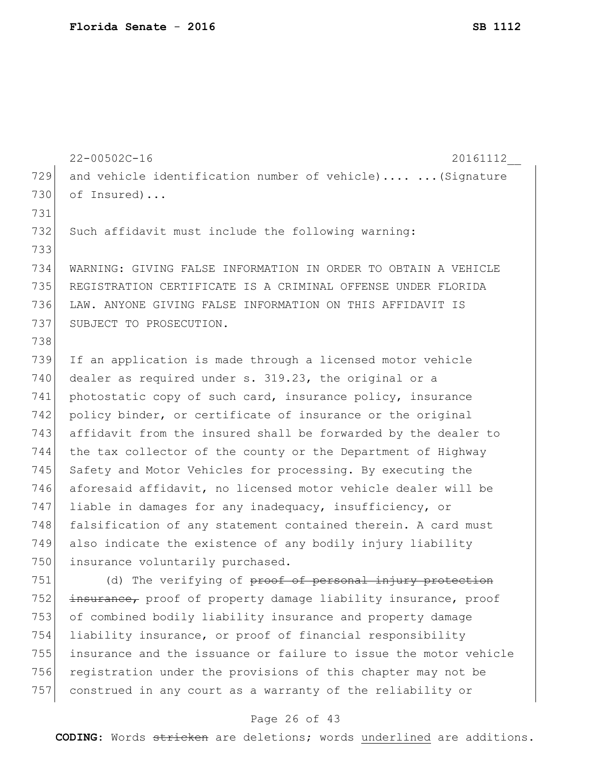22-00502C-16 20161112\_\_ 729 and vehicle identification number of vehicle).... ... (Signature 730 of Insured)... 731 732 Such affidavit must include the following warning: 733 734 WARNING: GIVING FALSE INFORMATION IN ORDER TO OBTAIN A VEHICLE 735 REGISTRATION CERTIFICATE IS A CRIMINAL OFFENSE UNDER FLORIDA 736 LAW. ANYONE GIVING FALSE INFORMATION ON THIS AFFIDAVIT IS 737 SUBJECT TO PROSECUTION. 738 739 If an application is made through a licensed motor vehicle 740 dealer as required under s. 319.23, the original or a 741 photostatic copy of such card, insurance policy, insurance 742 policy binder, or certificate of insurance or the original 743 affidavit from the insured shall be forwarded by the dealer to 744 the tax collector of the county or the Department of Highway 745 Safety and Motor Vehicles for processing. By executing the 746 aforesaid affidavit, no licensed motor vehicle dealer will be 747 liable in damages for any inadequacy, insufficiency, or 748 falsification of any statement contained therein. A card must 749 also indicate the existence of any bodily injury liability 750 insurance voluntarily purchased. 751 (d) The verifying of proof of personal injury protection 752 insurance, proof of property damage liability insurance, proof 753 of combined bodily liability insurance and property damage 754 liability insurance, or proof of financial responsibility 755 insurance and the issuance or failure to issue the motor vehicle 756 registration under the provisions of this chapter may not be 757 construed in any court as a warranty of the reliability or

## Page 26 of 43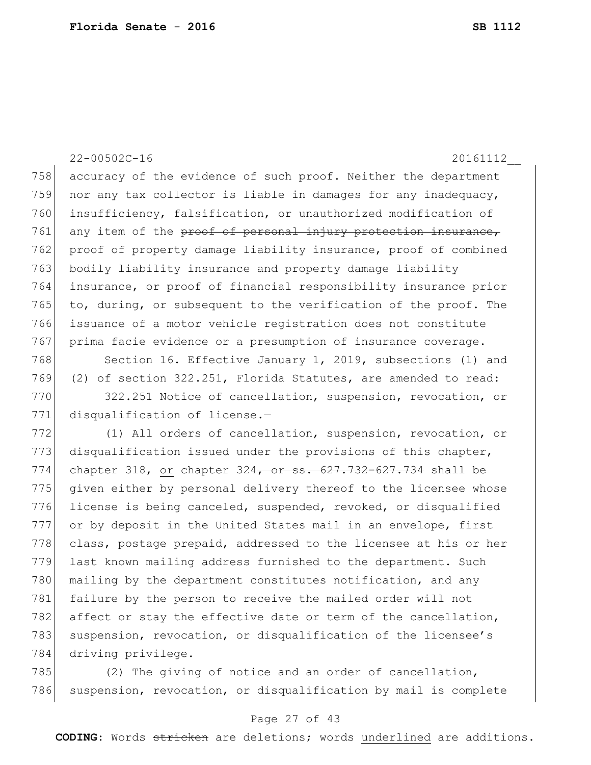22-00502C-16 20161112\_\_ 758 accuracy of the evidence of such proof. Neither the department 759 nor any tax collector is liable in damages for any inadequacy, 760 insufficiency, falsification, or unauthorized modification of 761 any item of the proof of personal injury protection insurance, 762 proof of property damage liability insurance, proof of combined 763 bodily liability insurance and property damage liability 764 insurance, or proof of financial responsibility insurance prior 765 to, during, or subsequent to the verification of the proof. The 766 issuance of a motor vehicle registration does not constitute 767 prima facie evidence or a presumption of insurance coverage.

768 Section 16. Effective January 1, 2019, subsections (1) and 769 (2) of section 322.251, Florida Statutes, are amended to read: 770 322.251 Notice of cancellation, suspension, revocation, or 771 disqualification of license.-

772 (1) All orders of cancellation, suspension, revocation, or 773 disqualification issued under the provisions of this chapter, 774 chapter 318, or chapter 324<del>, or ss. 627.732-627.734</del> shall be 775 given either by personal delivery thereof to the licensee whose 776 license is being canceled, suspended, revoked, or disqualified 777 or by deposit in the United States mail in an envelope, first 778 class, postage prepaid, addressed to the licensee at his or her 779 last known mailing address furnished to the department. Such 780 mailing by the department constitutes notification, and any 781 failure by the person to receive the mailed order will not 782 affect or stay the effective date or term of the cancellation, 783 suspension, revocation, or disqualification of the licensee's 784 driving privilege.

785 (2) The giving of notice and an order of cancellation, 786 suspension, revocation, or disqualification by mail is complete

## Page 27 of 43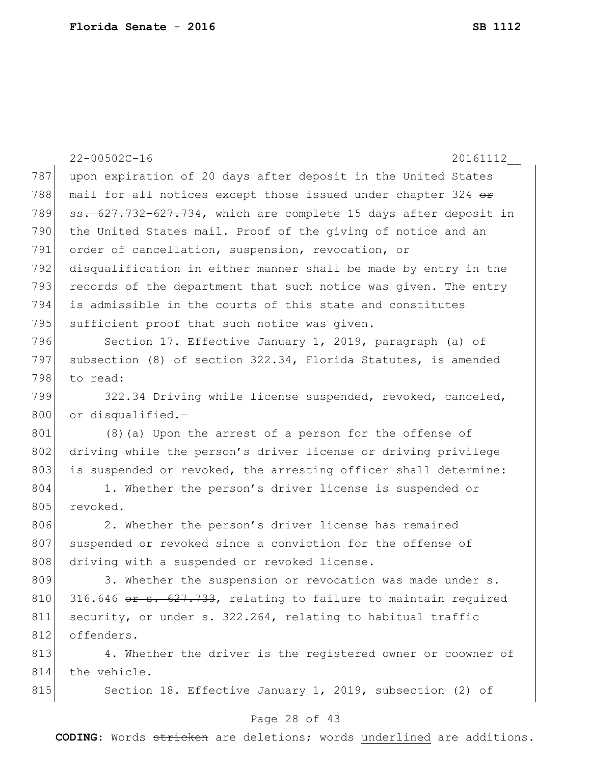|     | $22 - 00502C - 16$<br>20161112                                   |
|-----|------------------------------------------------------------------|
| 787 | upon expiration of 20 days after deposit in the United States    |
| 788 | mail for all notices except those issued under chapter 324 or    |
| 789 | ss. 627.732-627.734, which are complete 15 days after deposit in |
| 790 | the United States mail. Proof of the giving of notice and an     |
| 791 | order of cancellation, suspension, revocation, or                |
| 792 | disqualification in either manner shall be made by entry in the  |
| 793 | records of the department that such notice was given. The entry  |
| 794 | is admissible in the courts of this state and constitutes        |
| 795 | sufficient proof that such notice was given.                     |
| 796 | Section 17. Effective January 1, 2019, paragraph (a) of          |
| 797 | subsection (8) of section 322.34, Florida Statutes, is amended   |
| 798 | to read:                                                         |
| 799 | 322.34 Driving while license suspended, revoked, canceled,       |
| 800 | or disqualified.-                                                |
| 801 | $(8)$ (a) Upon the arrest of a person for the offense of         |
| 802 | driving while the person's driver license or driving privilege   |
| 803 | is suspended or revoked, the arresting officer shall determine:  |
| 804 | 1. Whether the person's driver license is suspended or           |
| 805 | revoked.                                                         |
| 806 | 2. Whether the person's driver license has remained              |
| 807 | suspended or revoked since a conviction for the offense of       |
| 808 | driving with a suspended or revoked license.                     |
| 809 | 3. Whether the suspension or revocation was made under s.        |
| 810 | 316.646 or s. 627.733, relating to failure to maintain required  |
| 811 | security, or under s. 322.264, relating to habitual traffic      |
| 812 | offenders.                                                       |
| 813 | 4. Whether the driver is the registered owner or coowner of      |
| 814 | the vehicle.                                                     |
| 815 | Section 18. Effective January 1, 2019, subsection (2) of         |
|     | Page 28 of 43                                                    |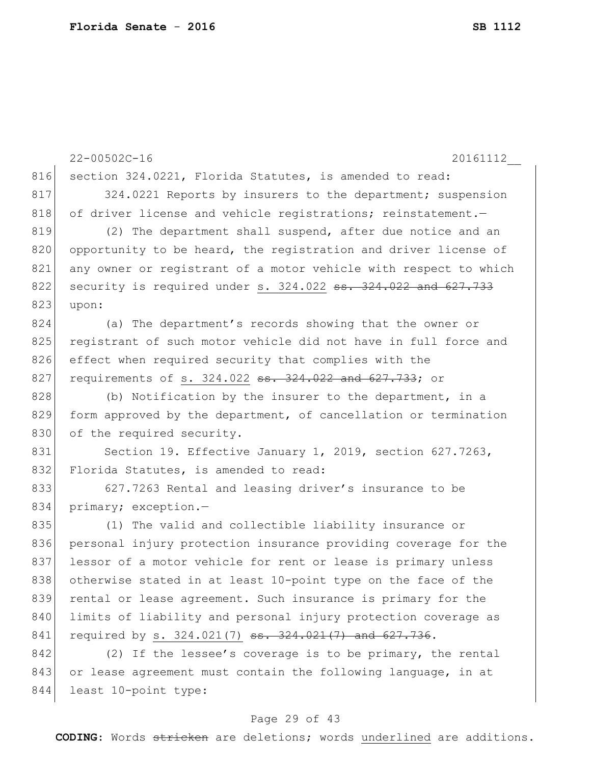|     | $22 - 00502C - 16$<br>20161112                                                                |
|-----|-----------------------------------------------------------------------------------------------|
| 816 | section 324.0221, Florida Statutes, is amended to read:                                       |
| 817 | 324.0221 Reports by insurers to the department; suspension                                    |
| 818 | of driver license and vehicle registrations; reinstatement.-                                  |
| 819 | (2) The department shall suspend, after due notice and an                                     |
| 820 | opportunity to be heard, the registration and driver license of                               |
| 821 | any owner or registrant of a motor vehicle with respect to which                              |
| 822 | security is required under s. 324.022 ss. 324.022 and 627.733                                 |
| 823 | upon:                                                                                         |
| 824 | (a) The department's records showing that the owner or                                        |
| 825 | registrant of such motor vehicle did not have in full force and                               |
| 826 | effect when required security that complies with the                                          |
| 827 | requirements of s. 324.022 <del>ss. 324.022 and 627.733</del> ; or                            |
| 828 | (b) Notification by the insurer to the department, in a                                       |
| 829 | form approved by the department, of cancellation or termination                               |
| 830 | of the required security.                                                                     |
| 831 | Section 19. Effective January 1, 2019, section 627.7263,                                      |
| 832 | Florida Statutes, is amended to read:                                                         |
| 833 | 627.7263 Rental and leasing driver's insurance to be                                          |
| 834 | primary; exception.-                                                                          |
| 835 | (1) The valid and collectible liability insurance or                                          |
| 836 | personal injury protection insurance providing coverage for the                               |
| 837 | lessor of a motor vehicle for rent or lease is primary unless                                 |
| 838 | otherwise stated in at least 10-point type on the face of the                                 |
| 839 | rental or lease agreement. Such insurance is primary for the                                  |
| 840 | limits of liability and personal injury protection coverage as                                |
| 841 | required by s. $324.021(7)$ <del>ss. <math>324.021(7)</math> and <math>627.736</math></del> . |
| 842 | (2) If the lessee's coverage is to be primary, the rental                                     |
| 843 | or lease agreement must contain the following language, in at                                 |
| 844 | least 10-point type:                                                                          |

# Page 29 of 43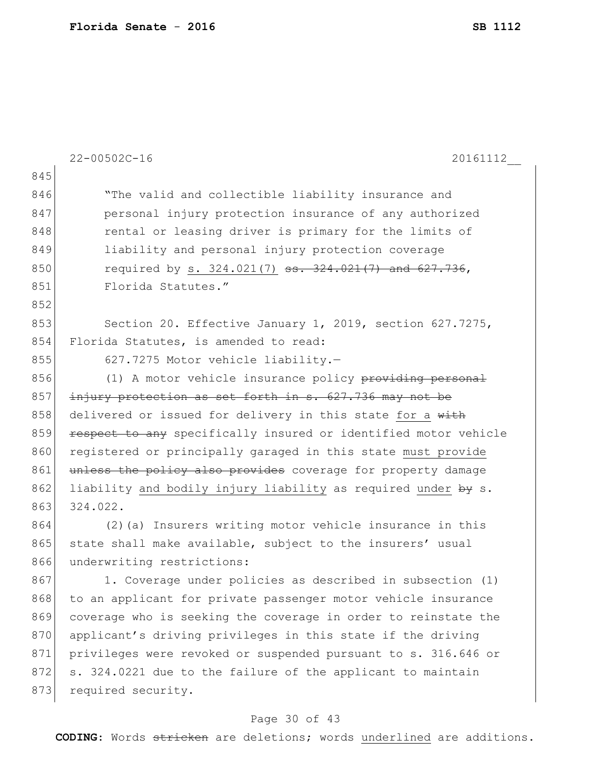873 required security.

|     | $22 - 00502C - 16$<br>20161112                                    |
|-----|-------------------------------------------------------------------|
| 845 |                                                                   |
| 846 | "The valid and collectible liability insurance and                |
| 847 | personal injury protection insurance of any authorized            |
| 848 | rental or leasing driver is primary for the limits of             |
| 849 | liability and personal injury protection coverage                 |
| 850 | required by s. 324.021(7) <del>ss. 324.021(7) and 627.736</del> , |
| 851 | Florida Statutes."                                                |
| 852 |                                                                   |
| 853 | Section 20. Effective January 1, 2019, section 627.7275,          |
| 854 | Florida Statutes, is amended to read:                             |
| 855 | 627.7275 Motor vehicle liability.-                                |
| 856 | (1) A motor vehicle insurance policy providing personal           |
| 857 | injury protection as set forth in s. 627.736 may not be           |
| 858 | delivered or issued for delivery in this state for a with         |
| 859 | respect to any specifically insured or identified motor vehicle   |
| 860 | registered or principally garaged in this state must provide      |
| 861 | unless the policy also provides coverage for property damage      |
| 862 | liability and bodily injury liability as required under by s.     |
| 863 | 324.022.                                                          |
| 864 | (2) (a) Insurers writing motor vehicle insurance in this          |
| 865 | state shall make available, subject to the insurers' usual        |
| 866 | underwriting restrictions:                                        |
| 867 | 1. Coverage under policies as described in subsection (1)         |
| 868 | to an applicant for private passenger motor vehicle insurance     |
| 869 | coverage who is seeking the coverage in order to reinstate the    |
| 870 | applicant's driving privileges in this state if the driving       |
| 871 | privileges were revoked or suspended pursuant to s. 316.646 or    |
| 872 | s. 324.0221 due to the failure of the applicant to maintain       |

# Page 30 of 43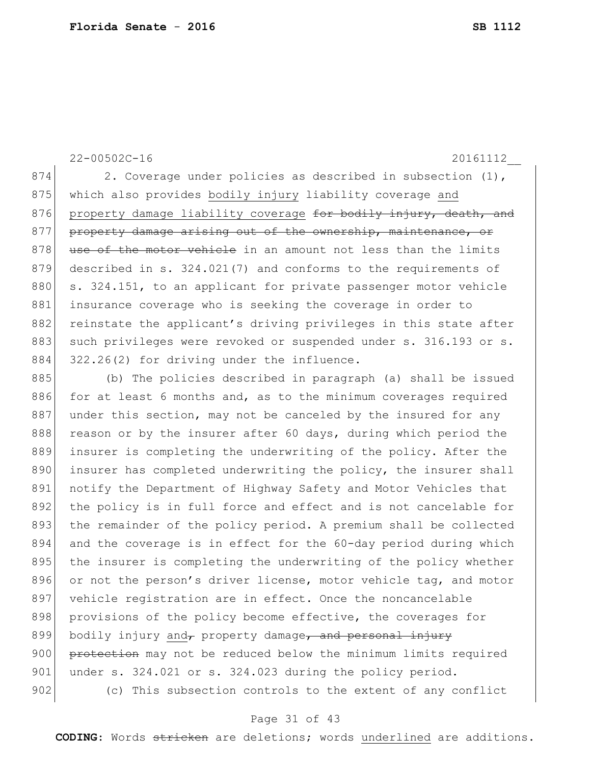874 2. Coverage under policies as described in subsection (1), 875 which also provides bodily injury liability coverage and 876 property damage liability coverage for bodily injury, death, and 877 property damage arising out of the ownership, maintenance, or 878 use of the motor vehicle in an amount not less than the limits 879 described in s. 324.021(7) and conforms to the requirements of 880 s. 324.151, to an applicant for private passenger motor vehicle 881 insurance coverage who is seeking the coverage in order to 882 reinstate the applicant's driving privileges in this state after 883 such privileges were revoked or suspended under s. 316.193 or s. 884 322.26(2) for driving under the influence.

885 (b) The policies described in paragraph (a) shall be issued 886 for at least 6 months and, as to the minimum coverages required 887 under this section, may not be canceled by the insured for any 888 reason or by the insurer after 60 days, during which period the 889 insurer is completing the underwriting of the policy. After the 890 insurer has completed underwriting the policy, the insurer shall 891 notify the Department of Highway Safety and Motor Vehicles that 892 the policy is in full force and effect and is not cancelable for 893 the remainder of the policy period. A premium shall be collected 894 and the coverage is in effect for the 60-day period during which 895 the insurer is completing the underwriting of the policy whether 896 or not the person's driver license, motor vehicle tag, and motor 897 vehicle registration are in effect. Once the noncancelable 898 provisions of the policy become effective, the coverages for 899 bodily injury and, property damage, and personal injury 900 protection may not be reduced below the minimum limits required 901 under s. 324.021 or s. 324.023 during the policy period. 902 (c) This subsection controls to the extent of any conflict

## Page 31 of 43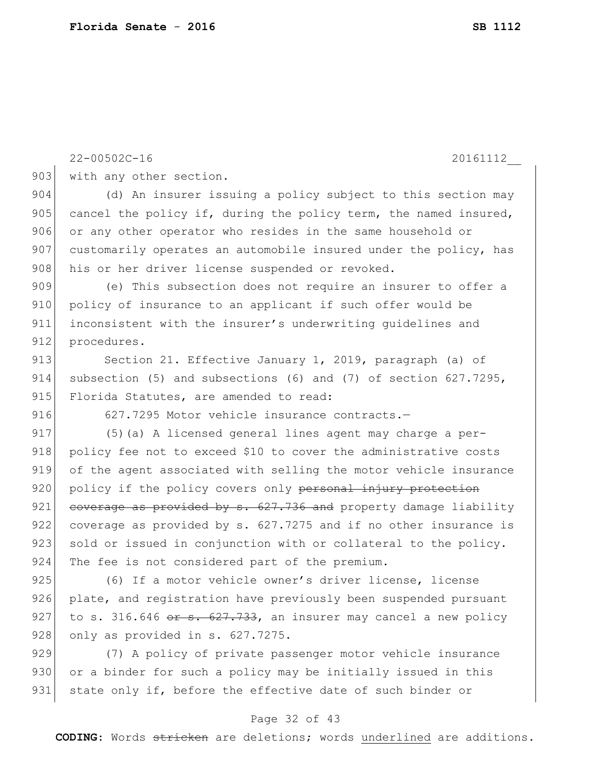| 903 | with any other section.                                          |
|-----|------------------------------------------------------------------|
| 904 | (d) An insurer issuing a policy subject to this section may      |
| 905 | cancel the policy if, during the policy term, the named insured, |
| 906 | or any other operator who resides in the same household or       |
| 907 | customarily operates an automobile insured under the policy, has |
| 908 | his or her driver license suspended or revoked.                  |
| 909 | (e) This subsection does not require an insurer to offer a       |
| 910 | policy of insurance to an applicant if such offer would be       |
| 911 | inconsistent with the insurer's underwriting quidelines and      |
| 912 | procedures.                                                      |
| 913 | Section 21. Effective January 1, 2019, paragraph (a) of          |
| 914 | subsection (5) and subsections (6) and (7) of section 627.7295,  |
| 915 | Florida Statutes, are amended to read:                           |
| 916 | 627.7295 Motor vehicle insurance contracts.-                     |
| 917 | (5) (a) A licensed general lines agent may charge a per-         |
| 918 | policy fee not to exceed \$10 to cover the administrative costs  |
| 919 | of the agent associated with selling the motor vehicle insurance |
| 920 | policy if the policy covers only personal injury protection      |
| 921 | coverage as provided by s. 627.736 and property damage liability |
| 922 | coverage as provided by s. 627.7275 and if no other insurance is |
| 923 | sold or issued in conjunction with or collateral to the policy.  |
| 924 | The fee is not considered part of the premium.                   |
| 925 | (6) If a motor vehicle owner's driver license, license           |
| 926 | plate, and registration have previously been suspended pursuant  |
| 927 | to s. 316.646 or s. 627.733, an insurer may cancel a new policy  |
| 928 | only as provided in s. 627.7275.                                 |
| 929 | (7) A policy of private passenger motor vehicle insurance        |
| 930 | or a binder for such a policy may be initially issued in this    |
| 931 | state only if, before the effective date of such binder or       |
|     | Page 32 of 43                                                    |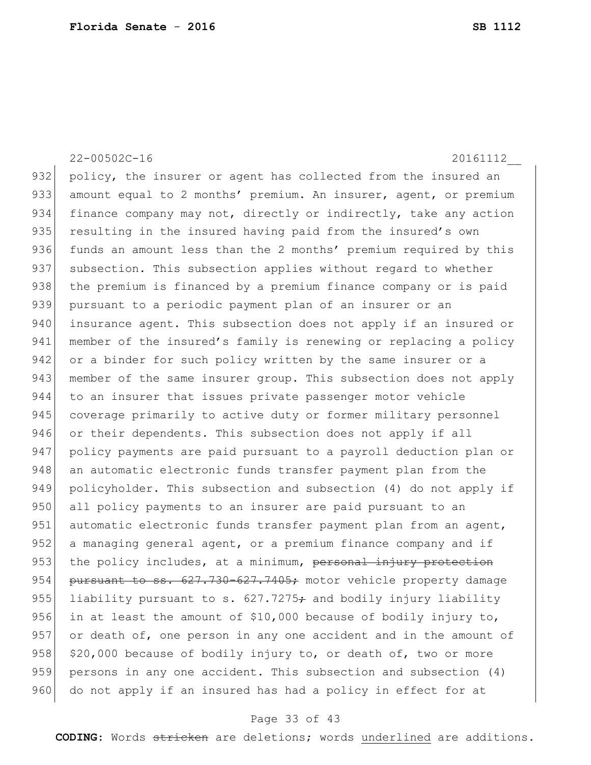932 policy, the insurer or agent has collected from the insured an 933 amount equal to 2 months' premium. An insurer, agent, or premium 934 finance company may not, directly or indirectly, take any action 935 resulting in the insured having paid from the insured's own 936 funds an amount less than the 2 months' premium required by this 937 subsection. This subsection applies without regard to whether 938 | the premium is financed by a premium finance company or is paid 939 pursuant to a periodic payment plan of an insurer or an 940 insurance agent. This subsection does not apply if an insured or 941 member of the insured's family is renewing or replacing a policy 942 or a binder for such policy written by the same insurer or a 943 member of the same insurer group. This subsection does not apply 944 to an insurer that issues private passenger motor vehicle 945 coverage primarily to active duty or former military personnel 946 or their dependents. This subsection does not apply if all 947 policy payments are paid pursuant to a payroll deduction plan or 948 an automatic electronic funds transfer payment plan from the 949 policyholder. This subsection and subsection (4) do not apply if 950 all policy payments to an insurer are paid pursuant to an 951 automatic electronic funds transfer payment plan from an agent, 952 a managing general agent, or a premium finance company and if 953 the policy includes, at a minimum, personal injury protection 954 pursuant to ss. 627.730-627.7405; motor vehicle property damage 955 liability pursuant to s.  $627.7275 \div$  and bodily injury liability 956 in at least the amount of  $$10,000$  because of bodily injury to, 957 or death of, one person in any one accident and in the amount of 958  $|$  \$20,000 because of bodily injury to, or death of, two or more 959 persons in any one accident. This subsection and subsection (4) 960 do not apply if an insured has had a policy in effect for at

## Page 33 of 43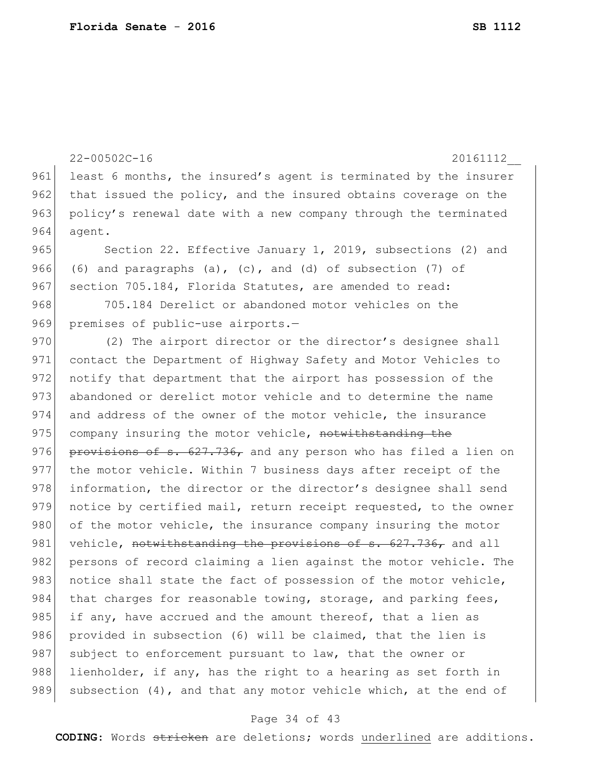```
22-00502C-16 20161112__
961 least 6 months, the insured's agent is terminated by the insurer
962 that issued the policy, and the insured obtains coverage on the
963 policy's renewal date with a new company through the terminated
964 agent.
965 Section 22. Effective January 1, 2019, subsections (2) and
966 (6) and paragraphs (a), (c), and (d) of subsection (7) of
967 section 705.184, Florida Statutes, are amended to read:
968 705.184 Derelict or abandoned motor vehicles on the
969 premises of public-use airports.-
970 (2) The airport director or the director's designee shall
971 contact the Department of Highway Safety and Motor Vehicles to
972 notify that department that the airport has possession of the
973 abandoned or derelict motor vehicle and to determine the name 
974 and address of the owner of the motor vehicle, the insurance 
975 company insuring the motor vehicle, notwithstanding the
976 provisions of s. 627.736, and any person who has filed a lien on
977 the motor vehicle. Within 7 business days after receipt of the 
978 information, the director or the director's designee shall send
979 notice by certified mail, return receipt requested, to the owner
980 of the motor vehicle, the insurance company insuring the motor
981 vehicle, notwithstanding the provisions of s. 627.736, and all
982 persons of record claiming a lien against the motor vehicle. The
983 notice shall state the fact of possession of the motor vehicle,
984 that charges for reasonable towing, storage, and parking fees,
985 if any, have accrued and the amount thereof, that a lien as
986 provided in subsection (6) will be claimed, that the lien is
987 subject to enforcement pursuant to law, that the owner or
988 lienholder, if any, has the right to a hearing as set forth in
989 subsection (4), and that any motor vehicle which, at the end of
```
## Page 34 of 43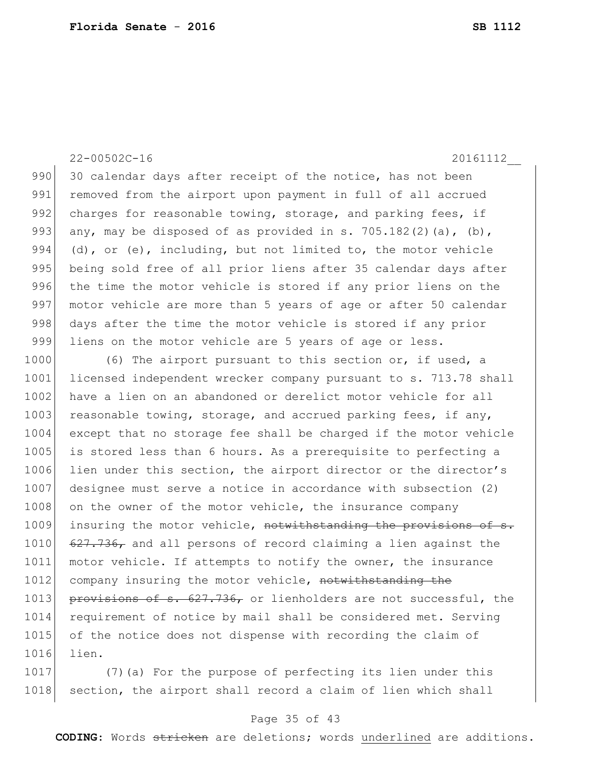990 30 calendar days after receipt of the notice, has not been 991 removed from the airport upon payment in full of all accrued 992 charges for reasonable towing, storage, and parking fees, if 993 any, may be disposed of as provided in s. 705.182(2)(a), (b), 994 (d), or  $(e)$ , including, but not limited to, the motor vehicle 995 being sold free of all prior liens after 35 calendar days after 996 the time the motor vehicle is stored if any prior liens on the 997 motor vehicle are more than 5 years of age or after 50 calendar 998 days after the time the motor vehicle is stored if any prior 999 liens on the motor vehicle are 5 years of age or less.

1000 (6) The airport pursuant to this section or, if used, a 1001 licensed independent wrecker company pursuant to s. 713.78 shall 1002 have a lien on an abandoned or derelict motor vehicle for all 1003 reasonable towing, storage, and accrued parking fees, if any, 1004 except that no storage fee shall be charged if the motor vehicle 1005 is stored less than 6 hours. As a prerequisite to perfecting a 1006 lien under this section, the airport director or the director's 1007 designee must serve a notice in accordance with subsection (2) 1008 on the owner of the motor vehicle, the insurance company 1009 insuring the motor vehicle, notwithstanding the provisions of s. 1010 627.736, and all persons of record claiming a lien against the 1011 motor vehicle. If attempts to notify the owner, the insurance 1012 company insuring the motor vehicle, notwithstanding the 1013 provisions of s. 627.736, or lienholders are not successful, the 1014 requirement of notice by mail shall be considered met. Serving 1015 of the notice does not dispense with recording the claim of 1016 lien.

1017 (7) (a) For the purpose of perfecting its lien under this 1018 section, the airport shall record a claim of lien which shall

## Page 35 of 43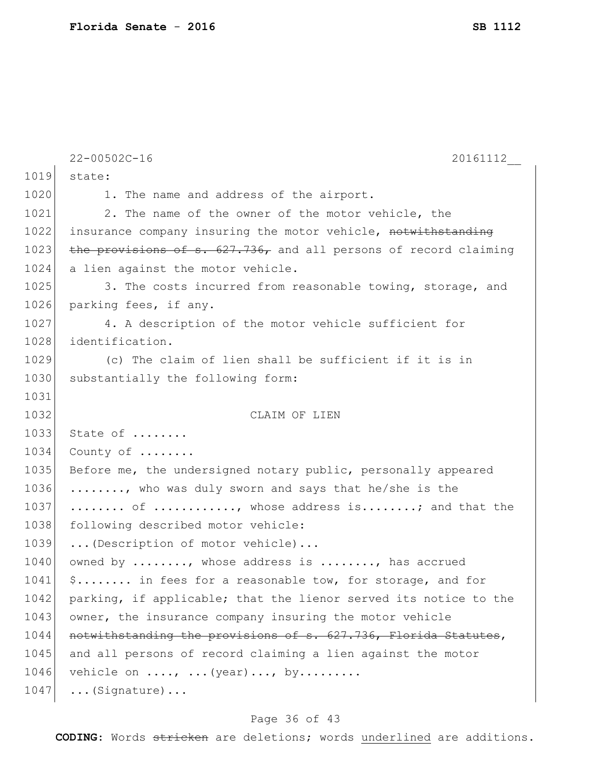| $22 - 00502C - 16$<br>20161112                                   |
|------------------------------------------------------------------|
| state:                                                           |
| 1. The name and address of the airport.                          |
| 2. The name of the owner of the motor vehicle, the               |
| insurance company insuring the motor vehicle, notwithstanding    |
| the provisions of s. 627.736, and all persons of record claiming |
| a lien against the motor vehicle.                                |
| 3. The costs incurred from reasonable towing, storage, and       |
| parking fees, if any.                                            |
| 4. A description of the motor vehicle sufficient for             |
| identification.                                                  |
| (c) The claim of lien shall be sufficient if it is in            |
| substantially the following form:                                |
|                                                                  |
| CLAIM OF LIEN                                                    |
| State of                                                         |
| County of                                                        |
| Before me, the undersigned notary public, personally appeared    |
| , who was duly sworn and says that he/she is the                 |
| of , whose address is; and that the                              |
| following described motor vehicle:                               |
| (Description of motor vehicle)                                   |
| owned by , whose address is , has accrued                        |
| \$ in fees for a reasonable tow, for storage, and for            |
| parking, if applicable; that the lienor served its notice to the |
| owner, the insurance company insuring the motor vehicle          |
| notwithstanding the provisions of s. 627.736, Florida Statutes,  |
| and all persons of record claiming a lien against the motor      |
| vehicle on $\ldots$ , $\ldots$ (year), by                        |
| $\ldots$ (Signature) $\ldots$                                    |
| 1039<br>1047                                                     |

# Page 36 of 43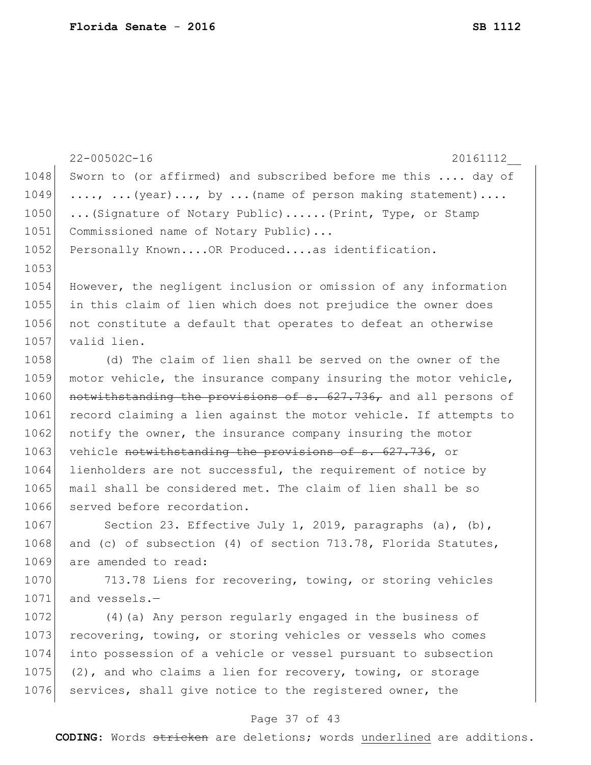|      | $22 - 00502C - 16$<br>20161112                                   |
|------|------------------------------------------------------------------|
| 1048 | Sworn to (or affirmed) and subscribed before me this  day of     |
| 1049 | ,  (year), by  (name of person making statement)                 |
| 1050 | (Signature of Notary Public) (Print, Type, or Stamp              |
| 1051 | Commissioned name of Notary Public)                              |
| 1052 | Personally Known OR Produced as identification.                  |
| 1053 |                                                                  |
| 1054 | However, the negligent inclusion or omission of any information  |
| 1055 | in this claim of lien which does not prejudice the owner does    |
| 1056 | not constitute a default that operates to defeat an otherwise    |
| 1057 | valid lien.                                                      |
| 1058 | (d) The claim of lien shall be served on the owner of the        |
| 1059 | motor vehicle, the insurance company insuring the motor vehicle, |
| 1060 | notwithstanding the provisions of s. 627.736, and all persons of |
| 1061 | record claiming a lien against the motor vehicle. If attempts to |
| 1062 | notify the owner, the insurance company insuring the motor       |
| 1063 | vehicle notwithstanding the provisions of s. 627.736, or         |
| 1064 | lienholders are not successful, the requirement of notice by     |
| 1065 | mail shall be considered met. The claim of lien shall be so      |
| 1066 | served before recordation.                                       |
| 1067 | Section 23. Effective July 1, 2019, paragraphs (a), (b),         |
| 1068 | and (c) of subsection (4) of section 713.78, Florida Statutes,   |
| 1069 | are amended to read:                                             |
| 1070 | 713.78 Liens for recovering, towing, or storing vehicles         |
| 1071 | and vessels.-                                                    |
| 1072 | (4) (a) Any person regularly engaged in the business of          |
| 1073 | recovering, towing, or storing vehicles or vessels who comes     |
| 1074 | into possession of a vehicle or vessel pursuant to subsection    |
| 1075 | (2), and who claims a lien for recovery, towing, or storage      |

# Page 37 of 43

1076 services, shall give notice to the registered owner, the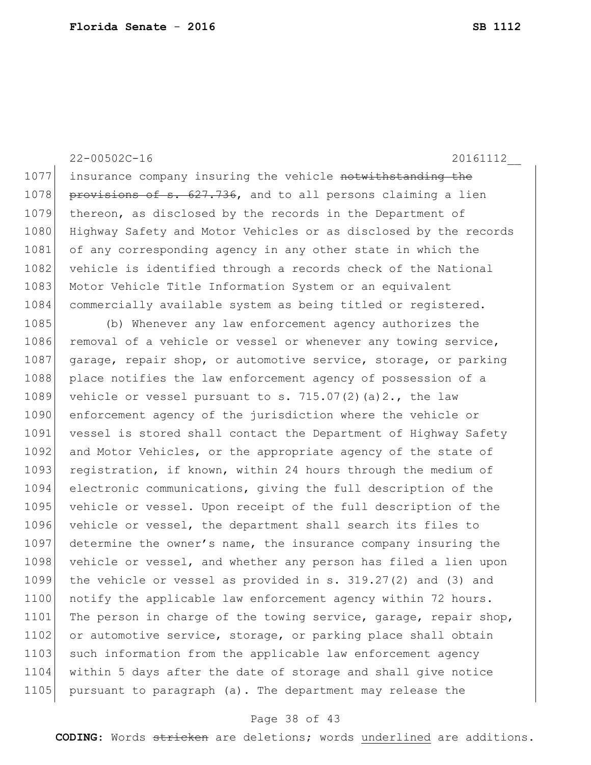1077 insurance company insuring the vehicle notwithstanding the 1078 **provisions of s. 627.736,** and to all persons claiming a lien 1079 thereon, as disclosed by the records in the Department of 1080 Highway Safety and Motor Vehicles or as disclosed by the records 1081 of any corresponding agency in any other state in which the 1082 vehicle is identified through a records check of the National 1083 Motor Vehicle Title Information System or an equivalent 1084 commercially available system as being titled or registered.

1085 (b) Whenever any law enforcement agency authorizes the 1086 removal of a vehicle or vessel or whenever any towing service, 1087 garage, repair shop, or automotive service, storage, or parking 1088 place notifies the law enforcement agency of possession of a 1089 vehicle or vessel pursuant to s.  $715.07(2)(a)2.$ , the law 1090 enforcement agency of the jurisdiction where the vehicle or 1091 vessel is stored shall contact the Department of Highway Safety 1092 and Motor Vehicles, or the appropriate agency of the state of 1093 registration, if known, within 24 hours through the medium of 1094 electronic communications, giving the full description of the 1095 vehicle or vessel. Upon receipt of the full description of the 1096 vehicle or vessel, the department shall search its files to 1097 determine the owner's name, the insurance company insuring the 1098 vehicle or vessel, and whether any person has filed a lien upon 1099 the vehicle or vessel as provided in s. 319.27(2) and (3) and 1100 notify the applicable law enforcement agency within 72 hours. 1101 The person in charge of the towing service, garage, repair shop, 1102 or automotive service, storage, or parking place shall obtain 1103 such information from the applicable law enforcement agency 1104 within 5 days after the date of storage and shall give notice 1105 pursuant to paragraph (a). The department may release the

## Page 38 of 43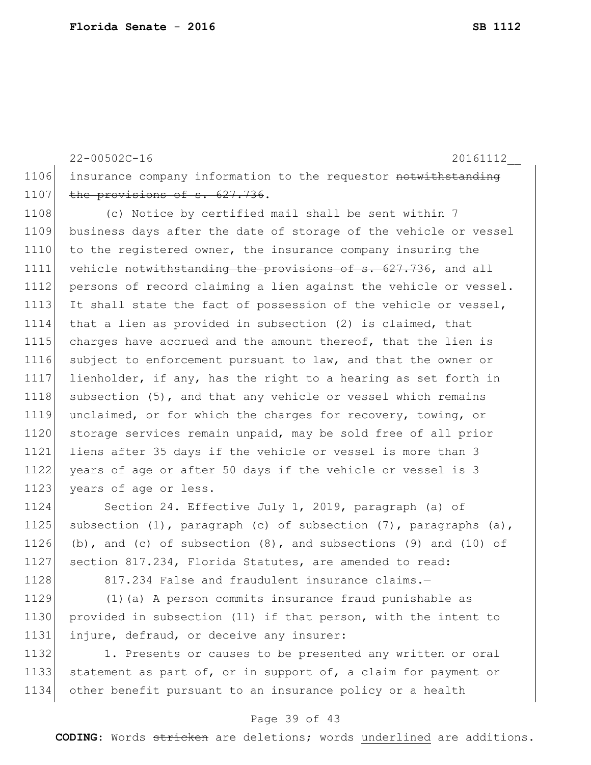22-00502C-16 20161112\_\_ 1106 insurance company information to the requestor notwithstanding 1107 the provisions of s. 627.736. 1108 (c) Notice by certified mail shall be sent within 7 1109 business days after the date of storage of the vehicle or vessel 1110 to the registered owner, the insurance company insuring the 1111 vehicle notwithstanding the provisions of s. 627.736, and all 1112 persons of record claiming a lien against the vehicle or vessel. 1113 It shall state the fact of possession of the vehicle or vessel, 1114 that a lien as provided in subsection (2) is claimed, that 1115 charges have accrued and the amount thereof, that the lien is 1116 subject to enforcement pursuant to law, and that the owner or 1117 lienholder, if any, has the right to a hearing as set forth in 1118 subsection (5), and that any vehicle or vessel which remains 1119 unclaimed, or for which the charges for recovery, towing, or 1120 storage services remain unpaid, may be sold free of all prior 1121 liens after 35 days if the vehicle or vessel is more than 3 1122 years of age or after 50 days if the vehicle or vessel is 3 1123 years of age or less.

1124 Section 24. Effective July 1, 2019, paragraph (a) of 1125 subsection (1), paragraph (c) of subsection (7), paragraphs (a), 1126 (b), and (c) of subsection  $(8)$ , and subsections  $(9)$  and  $(10)$  of 1127 section 817.234, Florida Statutes, are amended to read:

1128 817.234 False and fraudulent insurance claims.-

1129 (1)(a) A person commits insurance fraud punishable as 1130 provided in subsection (11) if that person, with the intent to 1131 injure, defraud, or deceive any insurer:

1132 1. Presents or causes to be presented any written or oral 1133 statement as part of, or in support of, a claim for payment or 1134 other benefit pursuant to an insurance policy or a health

## Page 39 of 43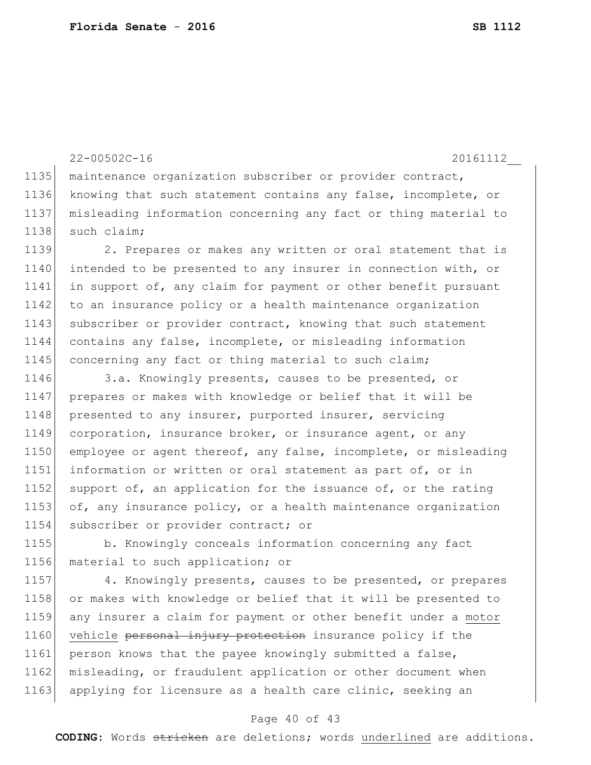22-00502C-16 20161112\_\_ 1135 | maintenance organization subscriber or provider contract, 1136 knowing that such statement contains any false, incomplete, or 1137 misleading information concerning any fact or thing material to 1138 such claim; 1139 2. Prepares or makes any written or oral statement that is 1140 intended to be presented to any insurer in connection with, or 1141 in support of, any claim for payment or other benefit pursuant 1142 to an insurance policy or a health maintenance organization 1143 subscriber or provider contract, knowing that such statement 1144 contains any false, incomplete, or misleading information 1145 concerning any fact or thing material to such claim; 1146 3.a. Knowingly presents, causes to be presented, or 1147 prepares or makes with knowledge or belief that it will be 1148 presented to any insurer, purported insurer, servicing 1149 corporation, insurance broker, or insurance agent, or any 1150 employee or agent thereof, any false, incomplete, or misleading 1151 information or written or oral statement as part of, or in 1152 support of, an application for the issuance of, or the rating 1153 of, any insurance policy, or a health maintenance organization 1154 subscriber or provider contract; or 1155 b. Knowingly conceals information concerning any fact

1156 material to such application; or

1157 4. Knowingly presents, causes to be presented, or prepares 1158 or makes with knowledge or belief that it will be presented to 1159 any insurer a claim for payment or other benefit under a motor 1160 vehicle personal injury protection insurance policy if the 1161 person knows that the payee knowingly submitted a false, 1162 misleading, or fraudulent application or other document when 1163 applying for licensure as a health care clinic, seeking an

## Page 40 of 43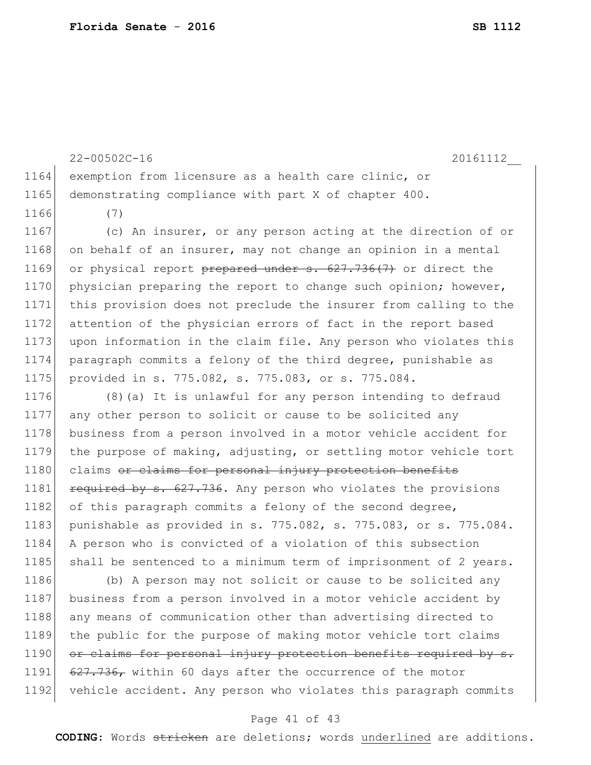1164 exemption from licensure as a health care clinic, or 1165 demonstrating compliance with part X of chapter 400. 1166 (7) 1167 (c) An insurer, or any person acting at the direction of or 1168 on behalf of an insurer, may not change an opinion in a mental 1169 or physical report prepared under  $s. 627.736(7)$  or direct the 1170 physician preparing the report to change such opinion; however, 1171 this provision does not preclude the insurer from calling to the 1172 attention of the physician errors of fact in the report based 1173 upon information in the claim file. Any person who violates this 1174 paragraph commits a felony of the third degree, punishable as 1175 provided in s. 775.082, s. 775.083, or s. 775.084. 1176 (8)(a) It is unlawful for any person intending to defraud 1177 any other person to solicit or cause to be solicited any 1178 business from a person involved in a motor vehicle accident for 1179 the purpose of making, adjusting, or settling motor vehicle tort 1180 claims or claims for personal injury protection benefits 1181 required by s. 627.736. Any person who violates the provisions 1182 of this paragraph commits a felony of the second degree, 1183 punishable as provided in s. 775.082, s. 775.083, or s. 775.084. 1184 A person who is convicted of a violation of this subsection 1185 shall be sentenced to a minimum term of imprisonment of 2 years. 1186 (b) A person may not solicit or cause to be solicited any 1187 business from a person involved in a motor vehicle accident by 1188 any means of communication other than advertising directed to 1189 the public for the purpose of making motor vehicle tort claims 1190 or claims for personal injury protection benefits required by s. 1191 627.736, within 60 days after the occurrence of the motor 1192 vehicle accident. Any person who violates this paragraph commits

22-00502C-16 20161112\_\_

#### Page 41 of 43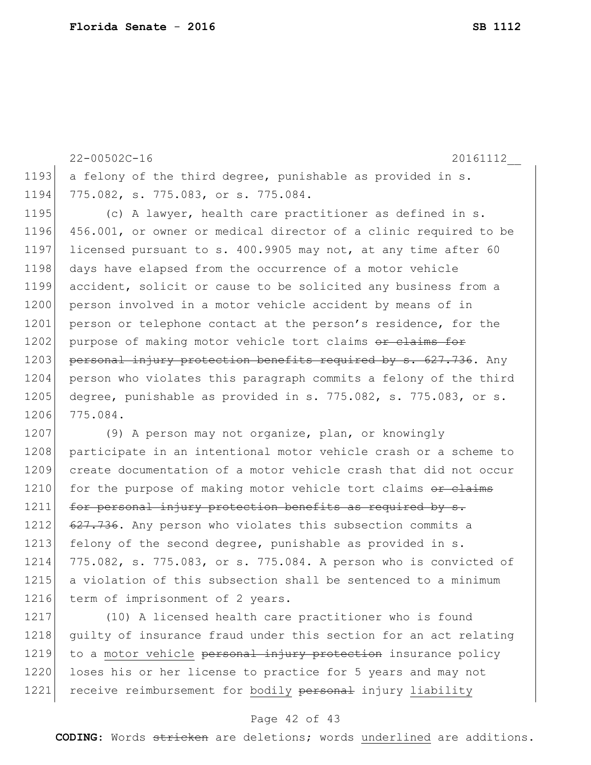```
22-00502C-16 20161112__
1193 a felony of the third degree, punishable as provided in s.
1194 775.082, s. 775.083, or s. 775.084.
1195 (c) A lawyer, health care practitioner as defined in s.
1196 456.001, or owner or medical director of a clinic required to be 
1197 licensed pursuant to s. 400.9905 may not, at any time after 60 
1198 days have elapsed from the occurrence of a motor vehicle
1199 accident, solicit or cause to be solicited any business from a 
1200 person involved in a motor vehicle accident by means of in
1201 person or telephone contact at the person's residence, for the
1202 purpose of making motor vehicle tort claims or claims for
1203 personal injury protection benefits required by s. 627.736. Any
1204 person who violates this paragraph commits a felony of the third
1205 degree, punishable as provided in s. 775.082, s. 775.083, or s.
1206 775.084.
1207 (9) A person may not organize, plan, or knowingly
1208 participate in an intentional motor vehicle crash or a scheme to
1209 create documentation of a motor vehicle crash that did not occur 
1210 for the purpose of making motor vehicle tort claims or claims
```
1211 for personal injury protection benefits as required by s. 1212 627.736. Any person who violates this subsection commits a 1213 felony of the second degree, punishable as provided in s. 1214 775.082, s. 775.083, or s. 775.084. A person who is convicted of 1215 a violation of this subsection shall be sentenced to a minimum 1216 term of imprisonment of 2 years.

1217 (10) A licensed health care practitioner who is found 1218 guilty of insurance fraud under this section for an act relating 1219 to a motor vehicle personal injury protection insurance policy 1220 loses his or her license to practice for 5 years and may not 1221 receive reimbursement for bodily personal injury liability

## Page 42 of 43